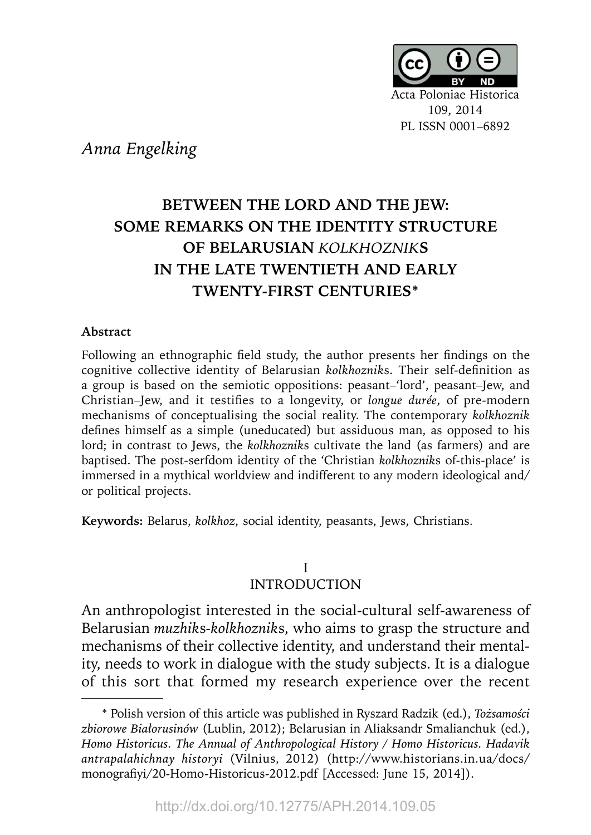

*Anna Engelking*

# **BETWEEN THE LORD AND THE JEW: SOME REMARKS ON THE IDENTITY STRUCTURE OF BELARUSIAN** *KOLKHOZNIK***S IN THE LATE TWENTIETH AND EARLY TWENTY-FIRST CENTURIES\***

### **Abstract**

Following an ethnographic field study, the author presents her findings on the cognitive collective identity of Belarusian *kolkhozniks*. Their self-definition as a group is based on the semiotic oppositions: peasant–'lord', peasant–Jew, and Christian–Jew, and it testifies to a longevity, or *longue durée*, of pre-modern mechanisms of conceptualising the social reality. The contemporary *kolkhoznik*  defines himself as a simple (uneducated) but assiduous man, as opposed to his lord; in contrast to Jews, the *kolkhoznik*s cultivate the land (as farmers) and are baptised. The post-serfdom identity of the 'Christian *kolkhoznik*s of-this-place' is immersed in a mythical worldview and indifferent to any modern ideological and/ or political projects.

**Keywords:** Belarus, *kolkhoz*, social identity, peasants, Jews, Christians.

# I INTRODUCTION

**1** ity, needs to work in dialogue with the study subjects. It is a dialogue An anthropologist interested in the social-cultural self-awareness of Belarusian *muzhik*s*-kolkhoznik*s, who aims to grasp the structure and mechanisms of their collective identity, and understand their mentalof this sort that formed my research experience over the recent

<sup>\*</sup> Polish version of this article was published in Ryszard Radzik (ed.), *Tożsamości zbiorowe Białorusinów* (Lublin, 2012); Belarusian in Aliaksandr Smalianchuk (ed.), *Homo Historicus. The Annual of Anthropological History / Homo Historicus. Hadavik antrapalahichnay historyi* (Vilnius, 2012) (http://www.historians.in.ua/docs/ monografiyi/20-Homo-Historicus-2012.pdf [Accessed: June 15, 2014]).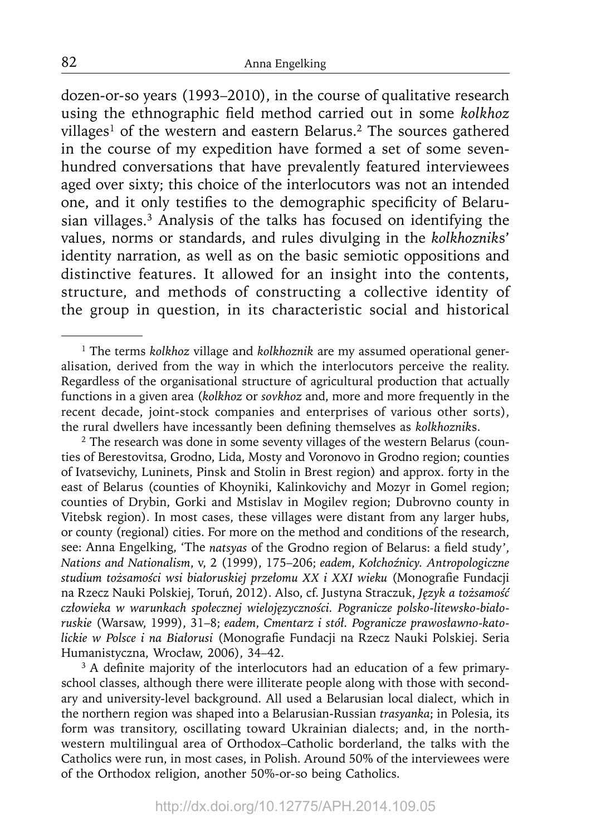dozen-or-so years (1993–2010), in the course of qualitative research using the ethnographic field method carried out in some *kolkhoz* villages<sup>1</sup> of the western and eastern Belarus.<sup>2</sup> The sources gathered in the course of my expedition have formed a set of some sevenhundred conversations that have prevalently featured interviewees aged over sixty; this choice of the interlocutors was not an intended one, and it only testifies to the demographic specificity of Belarusian villages.<sup>3</sup> Analysis of the talks has focused on identifying the values, norms or standards, and rules divulging in the *kolkhoznik*s' identity narration, as well as on the basic semiotic oppositions and distinctive features. It allowed for an insight into the contents, structure, and methods of constructing a collective identity of the group in question, in its characteristic social and historical

<sup>2</sup> The research was done in some seventy villages of the western Belarus (counties of Berestovitsa, Grodno, Lida, Mosty and Voronovo in Grodno region; counties of Ivatsevichy, Luninets, Pinsk and Stolin in Brest region) and approx. forty in the east of Belarus (counties of Khoyniki, Kalinkovichy and Mozyr in Gomel region; counties of Drybin, Gorki and Mstislav in Mogilev region; Dubrovno county in Vitebsk region). In most cases, these villages were distant from any larger hubs, or county (regional) cities. For more on the method and conditions of the research, see: Anna Engelking, 'The *natsyas* of the Grodno region of Belarus: a field study', *Nations and Nationalism*, v, 2 (1999), 175–206; *eadem*, *Kołchoźnicy. Antropologiczne studium tożsamości wsi białoruskiej przełomu XX i XXI wieku* (Monografi e Fundacji na Rzecz Nauki Polskiej, Toruń, 2012). Also, cf. Justyna Straczuk, *Język a tożsamość człowieka w warunkach społecznej wielojęzyczności. Pogranicze polsko-litewsko-białoruskie* (Warsaw, 1999), 31–8; *eadem*, *Cmentarz i stół. Pogranicze prawosławno-katolickie w Polsce i na Białorusi* (Monografi e Fundacji na Rzecz Nauki Polskiej. Seria Humanistyczna, Wrocław, 2006), 34–42.

<sup>3</sup> A definite majority of the interlocutors had an education of a few primaryschool classes, although there were illiterate people along with those with secondary and university-level background. All used a Belarusian local dialect, which in the northern region was shaped into a Belarusian-Russian *trasyanka*; in Polesia, its form was transitory, oscillating toward Ukrainian dialects; and, in the northwestern multilingual area of Orthodox–Catholic borderland, the talks with the Catholics were run, in most cases, in Polish. Around 50% of the interviewees were of the Orthodox religion, another 50%-or-so being Catholics.

<sup>1</sup> The terms *kolkhoz* village and *kolkhoznik* are my assumed operational generalisation*,* derived from the way in which the interlocutors perceive the reality. Regardless of the organisational structure of agricultural production that actually functions in a given area (*kolkhoz* or *sovkhoz* and, more and more frequently in the recent decade, joint-stock companies and enterprises of various other sorts), the rural dwellers have incessantly been defining themselves as *kolkhozniks*.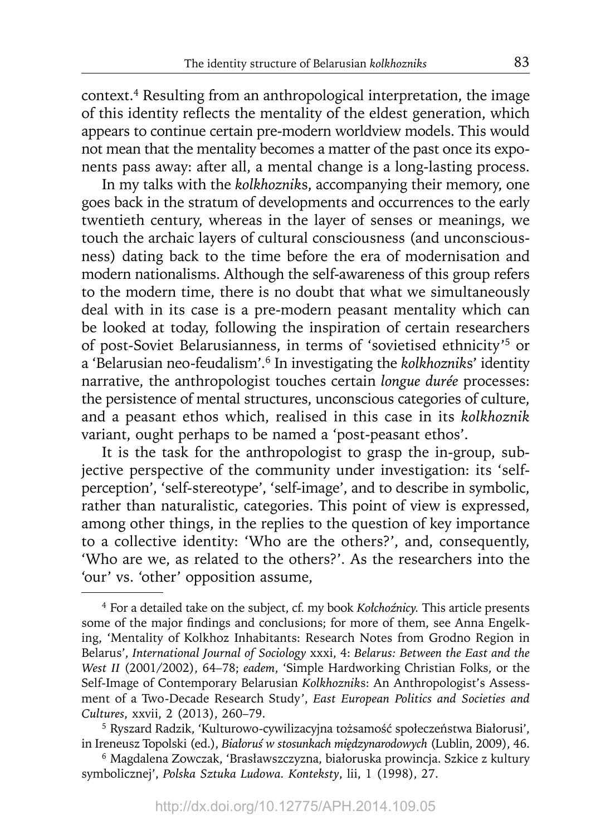context.4 Resulting from an anthropological interpretation, the image of this identity reflects the mentality of the eldest generation, which appears to continue certain pre-modern worldview models. This would not mean that the mentality becomes a matter of the past once its exponents pass away: after all, a mental change is a long-lasting process.

In my talks with the *kolkhoznik*s, accompanying their memory, one goes back in the stratum of developments and occurrences to the early twentieth century, whereas in the layer of senses or meanings, we touch the archaic layers of cultural consciousness (and unconsciousness) dating back to the time before the era of modernisation and modern nationalisms. Although the self-awareness of this group refers to the modern time, there is no doubt that what we simultaneously deal with in its case is a pre-modern peasant mentality which can be looked at today, following the inspiration of certain researchers of post-Soviet Belarusianness, in terms of 'sovietised ethnicity'5 or a 'Belarusian neo-feudalism'.6 In investigating the *kolkhoznik*s' identity narrative, the anthropologist touches certain *longue durée* processes: the persistence of mental structures, unconscious categories of culture, and a peasant ethos which, realised in this case in its *kolkhoznik* variant, ought perhaps to be named a 'post-peasant ethos'.

It is the task for the anthropologist to grasp the in-group, subjective perspective of the community under investigation: its 'selfperception', 'self-stereotype', 'self-image', and to describe in symbolic, rather than naturalistic, categories. This point of view is expressed, among other things, in the replies to the question of key importance to a collective identity: 'Who are the others?', and, consequently, 'Who are we, as related to the others?'. As the researchers into the 'our' vs. 'other' opposition assume,

6 Magdalena Zowczak, 'Brasławszczyzna, białoruska prowincja. Szkice z kultury symbolicznej', *Polska Sztuka Ludowa. Konteksty*, lii, 1 (1998), 27.

<sup>4</sup> For a detailed take on the subject, cf. my book *Kołchoźnicy.* This article presents some of the major findings and conclusions; for more of them, see Anna Engelking, 'Mentality of Kolkhoz Inhabitants: Research Notes from Grodno Region in Belarus', *International Journal of Sociology* xxxi, 4: *Belarus: Between the East and the West II* (2001/2002), 64–78; *eadem*, 'Simple Hardworking Christian Folks, or the Self-Image of Contemporary Belarusian *Kolkhoznik*s: An Anthropologist's Assessment of a Two-Decade Research Study', *East European Politics and Societies and Cultures*, xxvii, 2 (2013), 260–79.

<sup>5</sup> Ryszard Radzik, 'Kulturowo-cywilizacyjna tożsamość społeczeństwa Białorusi', in Ireneusz Topolski (ed.), *Białoruś w stosunkach międzynarodowych* (Lublin, 2009), 46.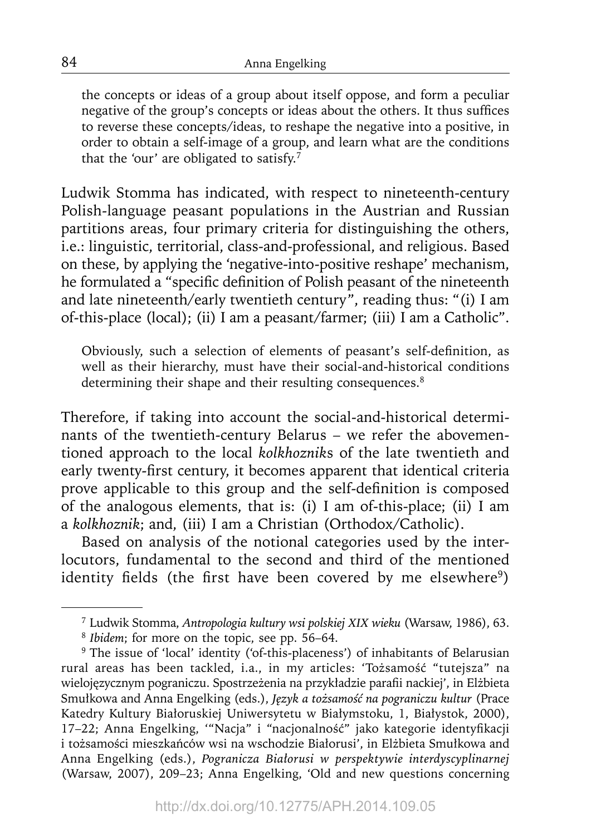the concepts or ideas of a group about itself oppose, and form a peculiar negative of the group's concepts or ideas about the others. It thus suffices to reverse these concepts/ideas, to reshape the negative into a positive, in order to obtain a self-image of a group, and learn what are the conditions that the 'our' are obligated to satisfy. $^7$ 

Ludwik Stomma has indicated, with respect to nineteenth-century Polish-language peasant populations in the Austrian and Russian partitions areas, four primary criteria for distinguishing the others, i.e.: linguistic, territorial, class-and-professional, and religious. Based on these, by applying the 'negative-into-positive reshape' mechanism, he formulated a "specific definition of Polish peasant of the nineteenth and late nineteenth/early twentieth century", reading thus: "(i) I am of-this-place (local); (ii) I am a peasant/farmer; (iii) I am a Catholic".

Obviously, such a selection of elements of peasant's self-definition, as well as their hierarchy, must have their social-and-historical conditions determining their shape and their resulting consequences.<sup>8</sup>

Therefore, if taking into account the social-and-historical determinants of the twentieth-century Belarus – we refer the abovementioned approach to the local *kolkhoznik*s of the late twentieth and early twenty-first century, it becomes apparent that identical criteria prove applicable to this group and the self-definition is composed of the analogous elements, that is: (i) I am of-this-place; (ii) I am a *kolkhoznik*; and, (iii) I am a Christian (Orthodox/Catholic).

Based on analysis of the notional categories used by the interlocutors, fundamental to the second and third of the mentioned identity fields (the first have been covered by me elsewhere<sup>9</sup>)

84

<sup>7</sup> Ludwik Stomma, *Antropologia kultury wsi polskiej XIX wieku* (Warsaw, 1986), 63.

<sup>8</sup>*Ibidem*; for more on the topic, see pp. 56–64.

<sup>&</sup>lt;sup>9</sup> The issue of 'local' identity ('of-this-placeness') of inhabitants of Belarusian rural areas has been tackled, i.a., in my articles: 'Tożsamość "tutejsza" na wielojęzycznym pograniczu. Spostrzeżenia na przykładzie parafi i nackiej', in Elżbieta Smułkowa and Anna Engelking (eds.), *Język a tożsamość na pograniczu kultur* (Prace Katedry Kultury Białoruskiej Uniwersytetu w Białymstoku, 1, Białystok, 2000), 17–22; Anna Engelking, "Nacja" i "nacjonalność" jako kategorie identyfikacji i tożsamości mieszkańców wsi na wschodzie Białorusi', in Elżbieta Smułkowa and Anna Engelking (eds.), *Pogranicza Białorusi w perspektywie interdyscyplinarnej*  (Warsaw, 2007), 209–23; Anna Engelking, 'Old and new questions concerning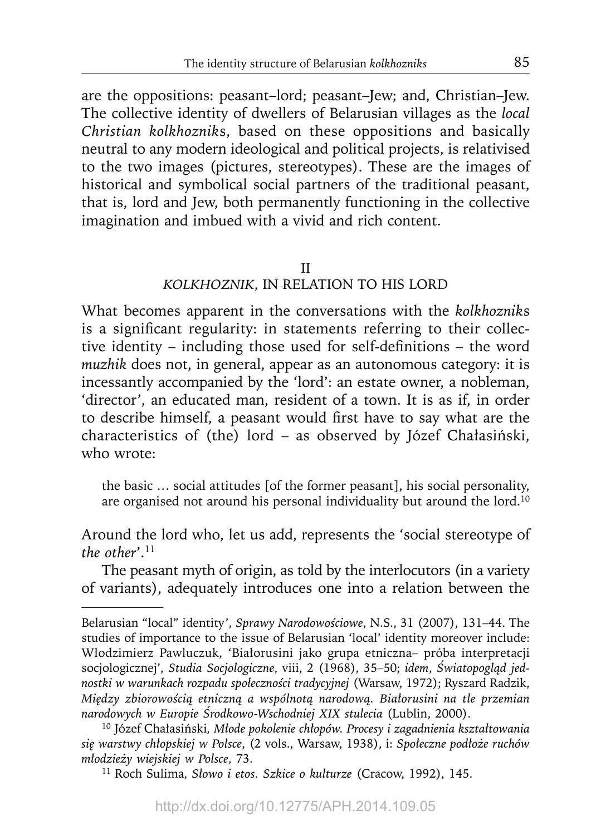are the oppositions: peasant–lord; peasant–Jew; and, Christian–Jew. The collective identity of dwellers of Belarusian villages as the *local Christian kolkhoznik*s, based on these oppositions and basically neutral to any modern ideological and political projects, is relativised to the two images (pictures, stereotypes). These are the images of historical and symbolical social partners of the traditional peasant, that is, lord and Jew, both permanently functioning in the collective imagination and imbued with a vivid and rich content.

# II *KOLKHOZNIK*, IN RELATION TO HIS LORD

What becomes apparent in the conversations with the *kolkhoznik*s is a significant regularity: in statements referring to their collective identity – including those used for self-definitions – the word *muzhik* does not, in general, appear as an autonomous category: it is incessantly accompanied by the 'lord': an estate owner, a nobleman, 'director', an educated man, resident of a town. It is as if, in order to describe himself, a peasant would first have to say what are the characteristics of (the) lord – as observed by Józef Chałasiński, who wrote:

the basic … social attitudes [of the former peasant], his social personality, are organised not around his personal individuality but around the lord.<sup>10</sup>

Around the lord who, let us add, represents the 'social stereotype of *the other*'.11

The peasant myth of origin, as told by the interlocutors (in a variety of variants), adequately introduces one into a relation between the

Belarusian "local" identity', *Sprawy Narodowościowe*, N.S., 31 (2007), 131–44. The studies of importance to the issue of Belarusian 'local' identity moreover include: Włodzimierz Pawluczuk, 'Białorusini jako grupa etniczna– próba interpretacji socjologicznej', *Studia Socjologiczne*, viii, 2 (1968), 35–50; *idem*, *Światopogląd jednostki w warunkach rozpadu społeczności tradycyjnej* (Warsaw, 1972); Ryszard Radzik, *Między zbiorowością etniczną a wspólnotą narodową. Białorusini na tle przemian narodowych w Europie Środkowo-Wschodniej XIX stulecia* (Lublin, 2000).

<sup>10</sup> Józef Chałasiński*, Młode pokolenie chłopów. Procesy i zagadnienia kształtowania się warstwy chłopskiej w Polsce*, (2 vols., Warsaw, 1938), i: *Społeczne podłoże ruchów młodzieży wiejskiej w Polsce*, 73.

<sup>11</sup> Roch Sulima, *Słowo i etos. Szkice o kulturze* (Cracow, 1992), 145.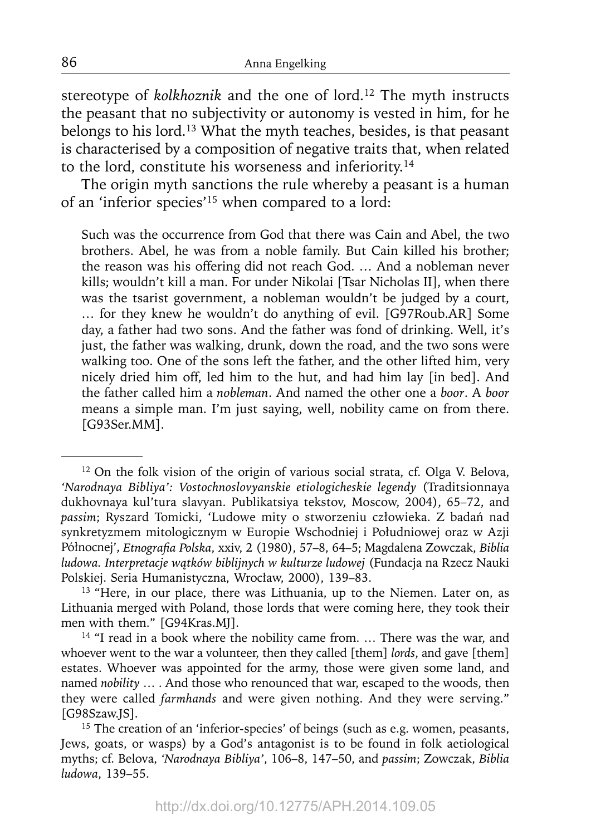stereotype of *kolkhoznik* and the one of lord.<sup>12</sup> The myth instructs the peasant that no subjectivity or autonomy is vested in him, for he belongs to his lord.13 What the myth teaches, besides, is that peasant is characterised by a composition of negative traits that, when related to the lord, constitute his worseness and inferiority.14

The origin myth sanctions the rule whereby a peasant is a human of an 'inferior species'15 when compared to a lord:

Such was the occurrence from God that there was Cain and Abel, the two brothers. Abel, he was from a noble family. But Cain killed his brother; the reason was his offering did not reach God. … And a nobleman never kills; wouldn't kill a man. For under Nikolai [Tsar Nicholas II], when there was the tsarist government, a nobleman wouldn't be judged by a court, … for they knew he wouldn't do anything of evil. [G97Roub.AR] Some day, a father had two sons. And the father was fond of drinking. Well, it's just, the father was walking, drunk, down the road, and the two sons were walking too. One of the sons left the father, and the other lifted him, very nicely dried him off, led him to the hut, and had him lay [in bed]. And the father called him a *nobleman*. And named the other one a *boor*. A *boor* means a simple man. I'm just saying, well, nobility came on from there. [G93Ser.MM].

<sup>&</sup>lt;sup>12</sup> On the folk vision of the origin of various social strata, cf. Olga V. Belova, *'Narodnaya Bibliya': Vostochnoslovyanskie etiologicheskie legendy* (Traditsionnaya dukhovnaya kul'tura slavyan. Publikatsiya tekstov, Moscow, 2004), 65–72, and *passim*; Ryszard Tomicki, 'Ludowe mity o stworzeniu człowieka. Z badań nad synkretyzmem mitologicznym w Europie Wschodniej i Południowej oraz w Azji Północnej', *Etnografia Polska*, xxiv, 2 (1980), 57-8, 64-5; Magdalena Zowczak, Biblia *ludowa. Interpretacje wątków biblijnych w kulturze ludowej* (Fundacja na Rzecz Nauki Polskiej. Seria Humanistyczna, Wrocław, 2000), 139–83.

<sup>&</sup>lt;sup>13</sup> "Here, in our place, there was Lithuania, up to the Niemen. Later on, as Lithuania merged with Poland, those lords that were coming here, they took their men with them." [G94Kras.MJ].

<sup>&</sup>lt;sup>14</sup> "I read in a book where the nobility came from. ... There was the war, and whoever went to the war a volunteer, then they called [them] *lords*, and gave [them] estates. Whoever was appointed for the army, those were given some land, and named *nobility* … . And those who renounced that war, escaped to the woods, then they were called *farmhands* and were given nothing. And they were serving." [G98Szaw.JS].

<sup>&</sup>lt;sup>15</sup> The creation of an 'inferior-species' of beings (such as e.g. women, peasants, Jews, goats, or wasps) by a God's antagonist is to be found in folk aetiological myths; cf. Belova, *'Narodnaya Bibliya'*, 106–8, 147–50, and *passim*; Zowczak, *Biblia ludowa*, 139–55.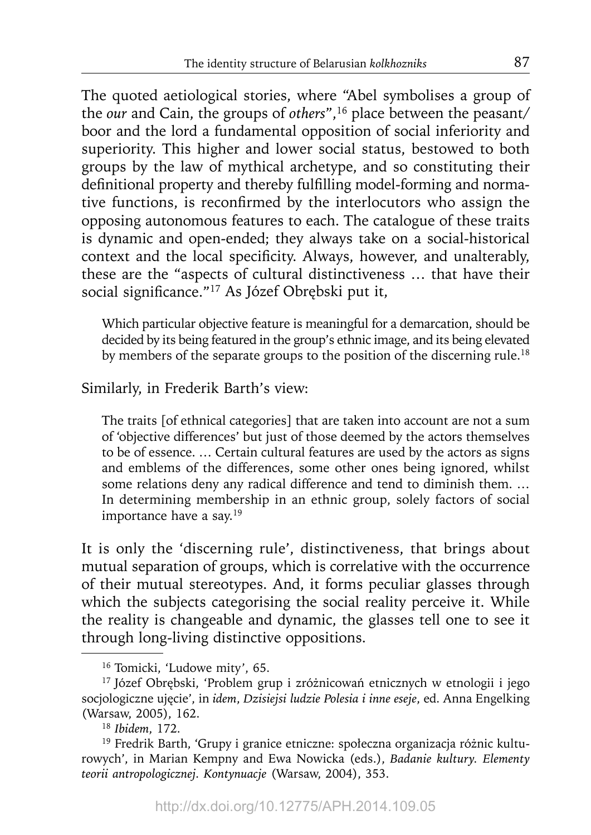The quoted aetiological stories, where "Abel symbolises a group of the *our* and Cain, the groups of *others*",<sup>16</sup> place between the peasant/ boor and the lord a fundamental opposition of social inferiority and superiority. This higher and lower social status, bestowed to both groups by the law of mythical archetype, and so constituting their definitional property and thereby fulfilling model-forming and normative functions, is reconfirmed by the interlocutors who assign the opposing autonomous features to each. The catalogue of these traits is dynamic and open-ended; they always take on a social-historical context and the local specificity. Always, however, and unalterably, these are the "aspects of cultural distinctiveness … that have their social significance."<sup>17</sup> As Józef Obrębski put it,

Which particular objective feature is meaningful for a demarcation, should be decided by its being featured in the group's ethnic image, and its being elevated by members of the separate groups to the position of the discerning rule.<sup>18</sup>

Similarly, in Frederik Barth's view:

The traits [of ethnical categories] that are taken into account are not a sum of 'objective differences' but just of those deemed by the actors themselves to be of essence. … Certain cultural features are used by the actors as signs and emblems of the differences, some other ones being ignored, whilst some relations deny any radical difference and tend to diminish them. … In determining membership in an ethnic group, solely factors of social importance have a say.19

It is only the 'discerning rule', distinctiveness, that brings about mutual separation of groups, which is correlative with the occurrence of their mutual stereotypes. And, it forms peculiar glasses through which the subjects categorising the social reality perceive it. While the reality is changeable and dynamic, the glasses tell one to see it through long-living distinctive oppositions.

<sup>16</sup> Tomicki, 'Ludowe mity', 65.

<sup>17</sup> Józef Obrębski, 'Problem grup i zróżnicowań etnicznych w etnologii i jego socjologiczne ujęcie', in *idem*, *Dzisiejsi ludzie Polesia i inne eseje*, ed. Anna Engelking (Warsaw, 2005), 162.

<sup>18</sup>*Ibidem*, 172.

<sup>19</sup> Fredrik Barth, 'Grupy i granice etniczne: społeczna organizacja różnic kulturowych', in Marian Kempny and Ewa Nowicka (eds.), *Badanie kultury. Elementy teorii antropologicznej. Kontynuacje* (Warsaw, 2004), 353.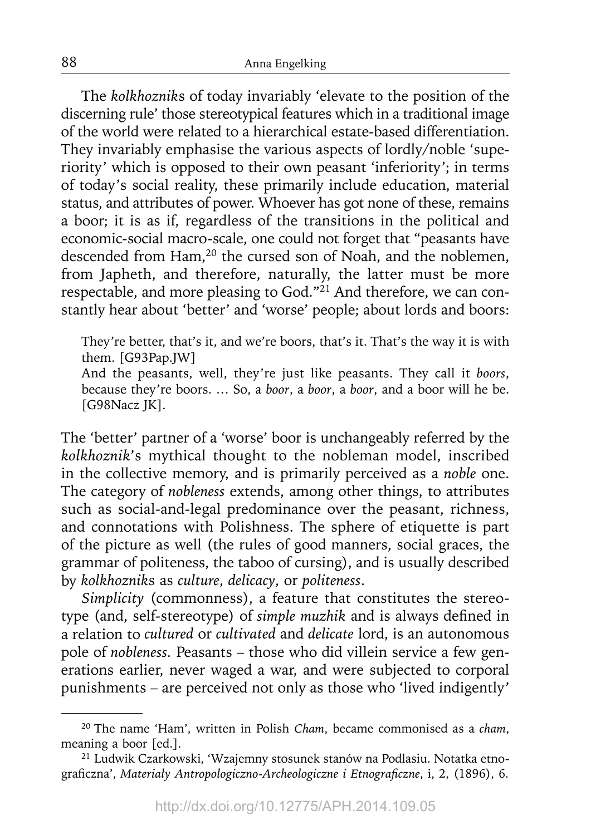The *kolkhoznik*s of today invariably 'elevate to the position of the discerning rule' those stereotypical features which in a traditional image of the world were related to a hierarchical estate-based differentiation. They invariably emphasise the various aspects of lordly/noble 'superiority' which is opposed to their own peasant 'inferiority'; in terms of today's social reality, these primarily include education, material status, and attributes of power. Whoever has got none of these, remains a boor; it is as if, regardless of the transitions in the political and economic-social macro-scale, one could not forget that "peasants have descended from Ham,<sup>20</sup> the cursed son of Noah, and the noblemen, from Japheth, and therefore, naturally, the latter must be more respectable, and more pleasing to God."<sup>21</sup> And therefore, we can constantly hear about 'better' and 'worse' people; about lords and boors:

They're better, that's it, and we're boors, that's it. That's the way it is with them. [G93Pap.JW]

And the peasants, well, they're just like peasants. They call it *boors*, because they're boors. … So, a *boor*, a *boor*, a *boor*, and a boor will he be. [G98Nacz JK].

The 'better' partner of a 'worse' boor is unchangeably referred by the *kolkhoznik*'s mythical thought to the nobleman model, inscribed in the collective memory, and is primarily perceived as a *noble* one. The category of *nobleness* extends, among other things, to attributes such as social-and-legal predominance over the peasant, richness, and connotations with Polishness. The sphere of etiquette is part of the picture as well (the rules of good manners, social graces, the grammar of politeness, the taboo of cursing), and is usually described by *kolkhoznik*s as *culture*, *delicacy*, or *politeness*.

*Simplicity* (commonness), a feature that constitutes the stereotype (and, self-stereotype) of *simple muzhik* and is always defined in a relation to *cultured* or *cultivated* and *delicate* lord, is an autonomous pole of *nobleness.* Peasants – those who did villein service a few generations earlier, never waged a war, and were subjected to corporal punishments – are perceived not only as those who 'lived indigently'

<sup>20</sup> The name 'Ham', written in Polish *Cham*, became commonised as a *cham*, meaning a boor [ed.]. 21 Ludwik Czarkowski, 'Wzajemny stosunek stanów na Podlasiu. Notatka etno-

graficzna', *Materiały Antropologiczno-Archeologiczne i Etnograficzne*, i, 2, (1896), 6.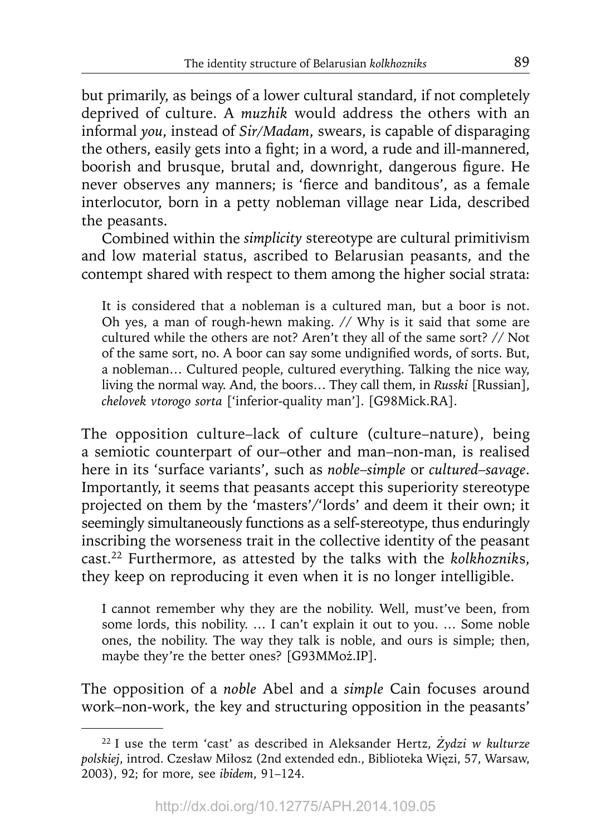but primarily, as beings of a lower cultural standard, if not completely deprived of culture. A *muzhik* would address the others with an informal *you*, instead of *Sir/Madam*, swears, is capable of disparaging the others, easily gets into a fight; in a word, a rude and ill-mannered, boorish and brusque, brutal and, downright, dangerous figure. He never observes any manners; is 'fierce and banditous', as a female interlocutor, born in a petty nobleman village near Lida, described the peasants.

Combined within the *simplicity* stereotype are cultural primitivism and low material status, ascribed to Belarusian peasants, and the contempt shared with respect to them among the higher social strata:

It is considered that a nobleman is a cultured man, but a boor is not. Oh yes, a man of rough-hewn making. // Why is it said that some are cultured while the others are not? Aren't they all of the same sort? // Not of the same sort, no. A boor can say some undignified words, of sorts. But, a nobleman… Cultured people, cultured everything. Talking the nice way, living the normal way. And, the boors… They call them, in *Russki* [Russian], *chelovek vtorogo sorta* ['inferior-quality man']. [G98Mick.RA].

The opposition culture–lack of culture (culture–nature), being a semiotic counterpart of our–other and man–non-man, is realised here in its 'surface variants', such as *noble*–*simple* or *cultured*–*savage*. Importantly, it seems that peasants accept this superiority stereotype projected on them by the 'masters'/'lords' and deem it their own; it seemingly simultaneously functions as a self-stereotype, thus enduringly inscribing the worseness trait in the collective identity of the peasant cast.22 Furthermore, as attested by the talks with the *kolkhoznik*s, they keep on reproducing it even when it is no longer intelligible.

I cannot remember why they are the nobility. Well, must've been, from some lords, this nobility. … I can't explain it out to you. … Some noble ones, the nobility. The way they talk is noble, and ours is simple; then, maybe they're the better ones? [G93MMoż.IP].

The opposition of a *noble* Abel and a *simple* Cain focuses around work–non-work, the key and structuring opposition in the peasants'

<sup>22</sup> I use the term 'cast' as described in Aleksander Hertz, *Żydzi w kulturze pol skiej*, introd. Czesław Miłosz (2nd extended edn., Biblioteka Więzi, 57, Warsaw, 2003), 92; for more, see *ibidem*, 91–124.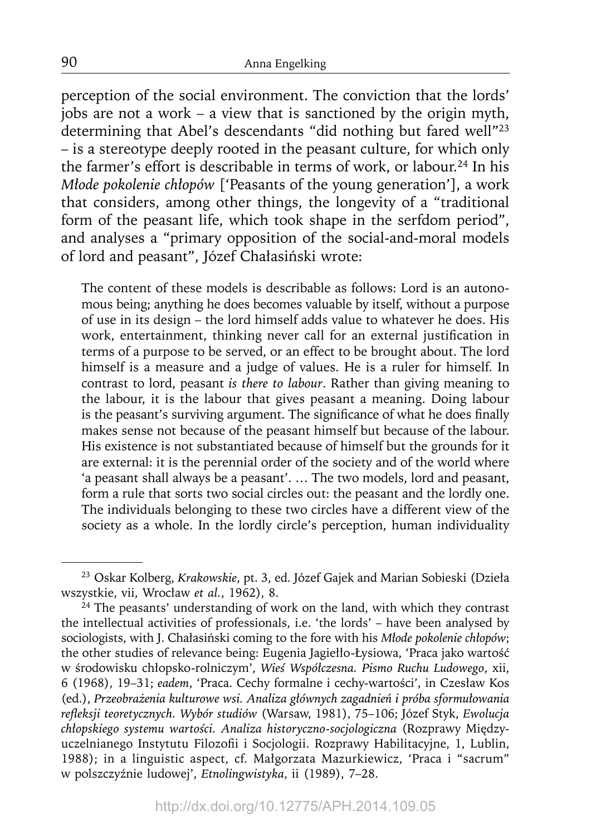perception of the social environment. The conviction that the lords' jobs are not a work – a view that is sanctioned by the origin myth, determining that Abel's descendants "did nothing but fared well"23 – is a stereotype deeply rooted in the peasant culture, for which only the farmer's effort is describable in terms of work, or labour.<sup>24</sup> In his *Młode pokolenie chłopów* ['Peasants of the young generation'], a work that considers, among other things, the longevity of a "traditional form of the peasant life, which took shape in the serfdom period", and analyses a "primary opposition of the social-and-moral models of lord and peasant", Józef Chałasiński wrote:

The content of these models is describable as follows: Lord is an autonomous being; anything he does becomes valuable by itself, without a purpose of use in its design – the lord himself adds value to whatever he does. His work, entertainment, thinking never call for an external justification in terms of a purpose to be served, or an effect to be brought about. The lord himself is a measure and a judge of values. He is a ruler for himself. In contrast to lord, peasant *is there to labour*. Rather than giving meaning to the labour, it is the labour that gives peasant a meaning. Doing labour is the peasant's surviving argument. The significance of what he does finally makes sense not because of the peasant himself but because of the labour. His existence is not substantiated because of himself but the grounds for it are external: it is the perennial order of the society and of the world where 'a peasant shall always be a peasant'. … The two models, lord and peasant, form a rule that sorts two social circles out: the peasant and the lordly one. The individuals belonging to these two circles have a different view of the society as a whole. In the lordly circle's perception, human individuality

<sup>23</sup> Oskar Kolberg, *Krakowskie*, pt. 3, ed. Józef Gajek and Marian Sobieski (Dzieła wszystkie, vii, Wrocław *et al.*, 1962), 8.

 $24$  The peasants' understanding of work on the land, with which they contrast the intellectual activities of professionals, i.e. 'the lords' – have been analysed by sociologists, with J. Chałasiński coming to the fore with his *Młode pokolenie chłopów*; the other studies of relevance being: Eugenia Jagiełło-Łysiowa, 'Praca jako wartość w środowisku chłopsko-rolniczym', *Wieś Współczesna. Pismo Ruchu Ludowego*, xii, 6 (1968), 19–31; *eadem*, 'Praca. Cechy formalne i cechy-wartości', in Czesław Kos (ed.), *Przeobrażenia kulturowe wsi. Analiza głównych zagadnień i próba sformułowania refl eksji teoretycznych. Wybór studiów* (Warsaw, 1981), 75–106; Józef Styk, *Ewolucja chłopskiego systemu wartości. Analiza historyczno-socjologiczna* (Rozprawy Międzyuczelnianego Instytutu Filozofii i Socjologii. Rozprawy Habilitacyjne, 1, Lublin, 1988); in a linguistic aspect, cf. Małgorzata Mazurkiewicz, 'Praca i "sacrum" w polszczyźnie ludowej', *Etnolingwistyka*, ii (1989), 7–28.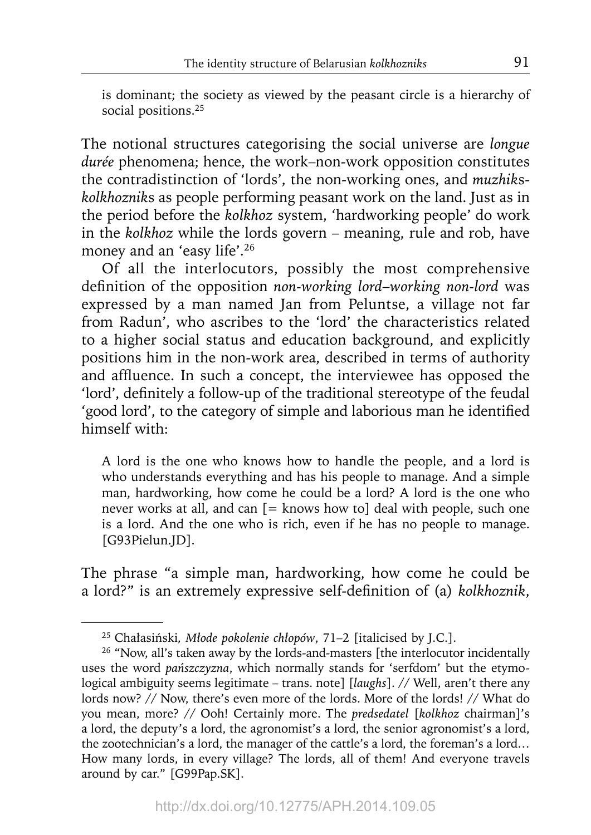is dominant; the society as viewed by the peasant circle is a hierarchy of social positions.<sup>25</sup>

The notional structures categorising the social universe are *longue durée* phenomena; hence, the work–non-work opposition constitutes the contradistinction of 'lords', the non-working ones, and *muzhik*s*kolkhoznik*s as people performing peasant work on the land. Just as in the period before the *kolkhoz* system, 'hardworking people' do work in the *kolkhoz* while the lords govern – meaning, rule and rob, have money and an 'easy life'.26

Of all the interlocutors, possibly the most comprehensive definition of the opposition *non-working lord–working non-lord* was expressed by a man named Jan from Peluntse, a village not far from Radun', who ascribes to the 'lord' the characteristics related to a higher social status and education background, and explicitly positions him in the non-work area, described in terms of authority and affluence. In such a concept, the interviewee has opposed the 'lord', definitely a follow-up of the traditional stereotype of the feudal 'good lord', to the category of simple and laborious man he identified himself with:

A lord is the one who knows how to handle the people, and a lord is who understands everything and has his people to manage. And a simple man, hardworking, how come he could be a lord? A lord is the one who never works at all, and can  $[=$  knows how to deal with people, such one is a lord. And the one who is rich, even if he has no people to manage. [G93Pielun.JD].

The phrase "a simple man, hardworking, how come he could be a lord?" is an extremely expressive self-definition of (a) *kolkhoznik*,

<sup>25</sup> Chałasiński*, Młode pokolenie chłopów*, 71–2 [italicised by J.C.].

<sup>&</sup>lt;sup>26</sup> "Now, all's taken away by the lords-and-masters [the interlocutor incidentally uses the word *pańszczyzna*, which normally stands for 'serfdom' but the etymological ambiguity seems legitimate – trans. note] [*laughs*]. // Well, aren't there any lords now? // Now, there's even more of the lords. More of the lords! // What do you mean, more? // Ooh! Certainly more. The *predsedatel* [*kolkhoz* chairman]'s a lord, the deputy's a lord, the agronomist's a lord, the senior agronomist's a lord, the zootechnician's a lord, the manager of the cattle's a lord, the foreman's a lord… How many lords, in every village? The lords, all of them! And everyone travels around by car." [G99Pap.SK].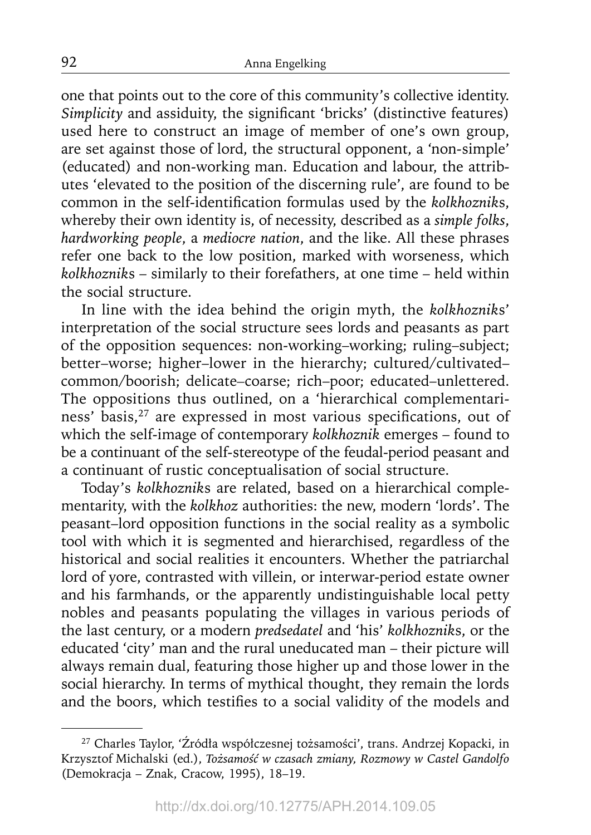one that points out to the core of this community's collective identity. *Simplicity* and assiduity, the significant 'bricks' (distinctive features) used here to construct an image of member of one's own group, are set against those of lord, the structural opponent, a 'non-simple' (educated) and non-working man. Education and labour, the attributes 'elevated to the position of the discerning rule', are found to be common in the self-identification formulas used by the *kolkhozniks*, whereby their own identity is, of necessity, described as a *simple folks*, *hardworking people*, a *mediocre nation*, and the like. All these phrases refer one back to the low position, marked with worseness, which *kolkhoznik*s – similarly to their forefathers, at one time – held within the social structure.

In line with the idea behind the origin myth, the *kolkhoznik*s' interpretation of the social structure sees lords and peasants as part of the opposition sequences: non-working–working; ruling–subject; better–worse; higher–lower in the hierarchy; cultured/cultivated– common/boorish; delicate*–*coarse; rich–poor; educated–unlettered. The oppositions thus outlined, on a 'hierarchical complementariness' basis,<sup>27</sup> are expressed in most various specifications, out of which the self-image of contemporary *kolkhoznik* emerges – found to be a continuant of the self-stereotype of the feudal-period peasant and a continuant of rustic conceptualisation of social structure.

Today's *kolkhoznik*s are related, based on a hierarchical complementarity, with the *kolkhoz* authorities: the new, modern 'lords'. The peasant–lord opposition functions in the social reality as a symbolic tool with which it is segmented and hierarchised, regardless of the historical and social realities it encounters. Whether the patriarchal lord of yore, contrasted with villein, or interwar-period estate owner and his farmhands, or the apparently undistinguishable local petty nobles and peasants populating the villages in various periods of the last century, or a modern *predsedatel* and 'his' *kolkhoznik*s, or the educated 'city' man and the rural uneducated man – their picture will always remain dual, featuring those higher up and those lower in the social hierarchy. In terms of mythical thought, they remain the lords and the boors, which testifies to a social validity of the models and

<sup>27</sup> Charles Taylor, 'Źródła współczesnej tożsamości', trans. Andrzej Kopacki, in Krzysztof Michalski (ed.), *Tożsamość w czasach zmiany, Rozmowy w Castel Gandolfo*  (Demokracja – Znak, Cracow, 1995), 18–19.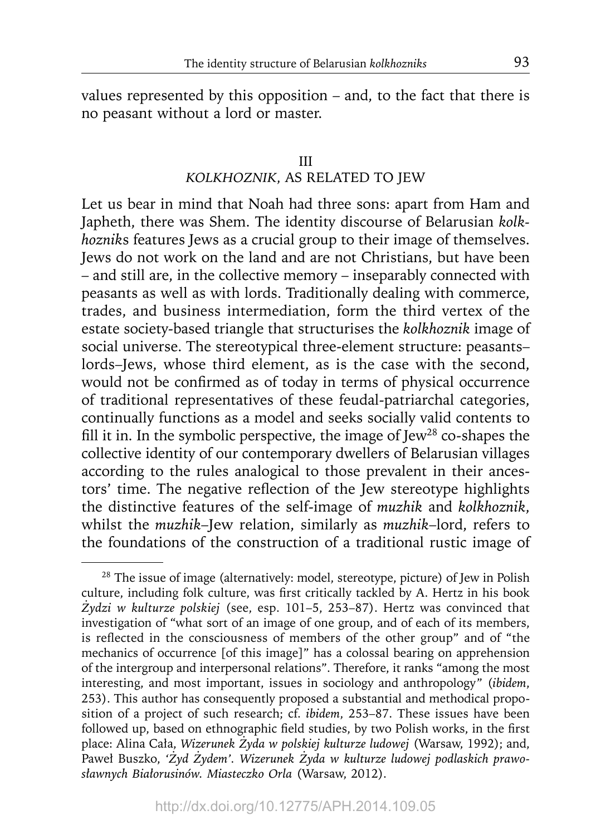values represented by this opposition – and, to the fact that there is no peasant without a lord or master.

#### III

# *KOLKHOZNIK*, AS RELATED TO JEW

Let us bear in mind that Noah had three sons: apart from Ham and Japheth, there was Shem. The identity discourse of Belarusian *kolkhoznik*s features Jews as a crucial group to their image of themselves. Jews do not work on the land and are not Christians, but have been – and still are, in the collective memory – inseparably connected with peasants as well as with lords. Traditionally dealing with commerce, trades, and business intermediation, form the third vertex of the estate society-based triangle that structurises the *kolkhoznik* image of social universe. The stereotypical three-element structure: peasants– lords–Jews, whose third element, as is the case with the second, would not be confirmed as of today in terms of physical occurrence of traditional representatives of these feudal-patriarchal categories, continually functions as a model and seeks socially valid contents to fill it in. In the symbolic perspective, the image of  $Jew^{28}$  co-shapes the collective identity of our contemporary dwellers of Belarusian villages according to the rules analogical to those prevalent in their ancestors' time. The negative reflection of the Jew stereotype highlights the distinctive features of the self-image of *muzhik* and *kolkhoznik*, whilst the *muzhik*–Jew relation, similarly as *muzhik*–lord, refers to the foundations of the construction of a traditional rustic image of

<sup>28</sup> The issue of image (alternatively: model, stereotype, picture) of Jew in Polish culture, including folk culture, was first critically tackled by A. Hertz in his book *Żydzi w kulturze polskiej* (see, esp. 101–5, 253–87). Hertz was convinced that investigation of "what sort of an image of one group, and of each of its members, is reflected in the consciousness of members of the other group" and of "the mechanics of occurrence [of this image]" has a colossal bearing on apprehension of the intergroup and interpersonal relations". Therefore, it ranks "among the most interesting, and most important, issues in sociology and anthropology" (*ibidem*, 253). This author has consequently proposed a substantial and methodical proposition of a project of such research; cf. *ibidem*, 253–87. These issues have been followed up, based on ethnographic field studies, by two Polish works, in the first place: Alina Cała, *Wizerunek Żyda w polskiej kulturze ludowej* (Warsaw, 1992); and, Paweł Buszko, *'Żyd Żydem'. Wizerunek Żyda w kulturze ludowej podlaskich prawosławnych Białorusinów. Miasteczko Orla* (Warsaw, 2012).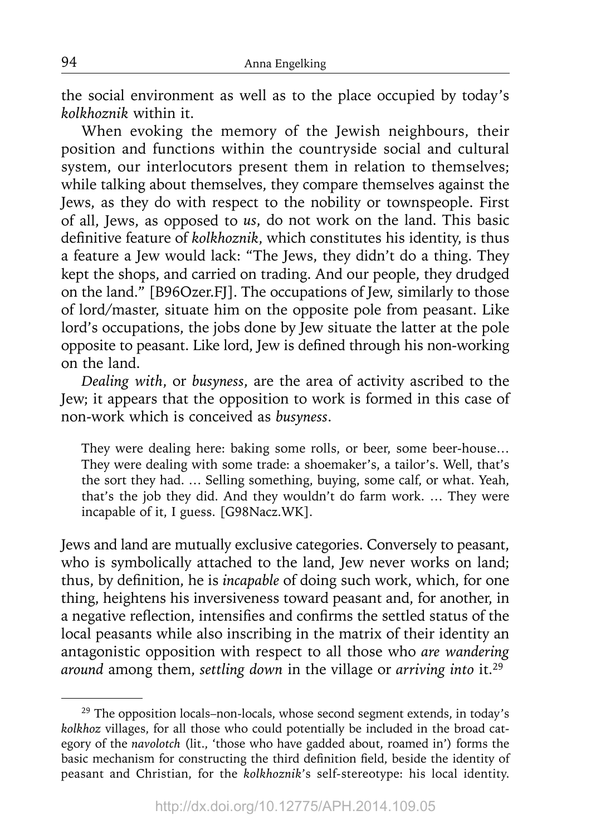the social environment as well as to the place occupied by today's *kolkhoznik* within it.

When evoking the memory of the Jewish neighbours, their position and functions within the countryside social and cultural system, our interlocutors present them in relation to themselves; while talking about themselves, they compare themselves against the Jews, as they do with respect to the nobility or townspeople. First of all, Jews, as opposed to *us*, do not work on the land. This basic definitive feature of *kolkhoznik*, which constitutes his identity, is thus a feature a Jew would lack: "The Jews, they didn't do a thing. They kept the shops, and carried on trading. And our people, they drudged on the land." [B96Ozer.FJ]. The occupations of Jew, similarly to those of lord/master, situate him on the opposite pole from peasant. Like lord's occupations, the jobs done by Jew situate the latter at the pole opposite to peasant. Like lord, Jew is defined through his non-working on the land.

*Dealing with*, or *busyness*, are the area of activity ascribed to the Jew; it appears that the opposition to work is formed in this case of non-work which is conceived as *busyness*.

They were dealing here: baking some rolls, or beer, some beer-house… They were dealing with some trade: a shoemaker's, a tailor's. Well, that's the sort they had. … Selling something, buying, some calf, or what. Yeah, that's the job they did. And they wouldn't do farm work. … They were incapable of it, I guess. [G98Nacz.WK].

Jews and land are mutually exclusive categories. Conversely to peasant, who is symbolically attached to the land, Jew never works on land; thus, by definition, he is *incapable* of doing such work, which, for one thing, heightens his inversiveness toward peasant and, for another, in a negative reflection, intensifies and confirms the settled status of the local peasants while also inscribing in the matrix of their identity an antagonistic opposition with respect to all those who *are wandering around* among them, *settling down* in the village or *arriving into* it.29

<sup>29</sup> The opposition locals–non-locals, whose second segment extends, in today's *kolkhoz* villages, for all those who could potentially be included in the broad category of the *navolotch* (lit., 'those who have gadded about, roamed in') forms the basic mechanism for constructing the third definition field, beside the identity of peasant and Christian, for the *kolkhoznik*'s self-stereotype: his local identity.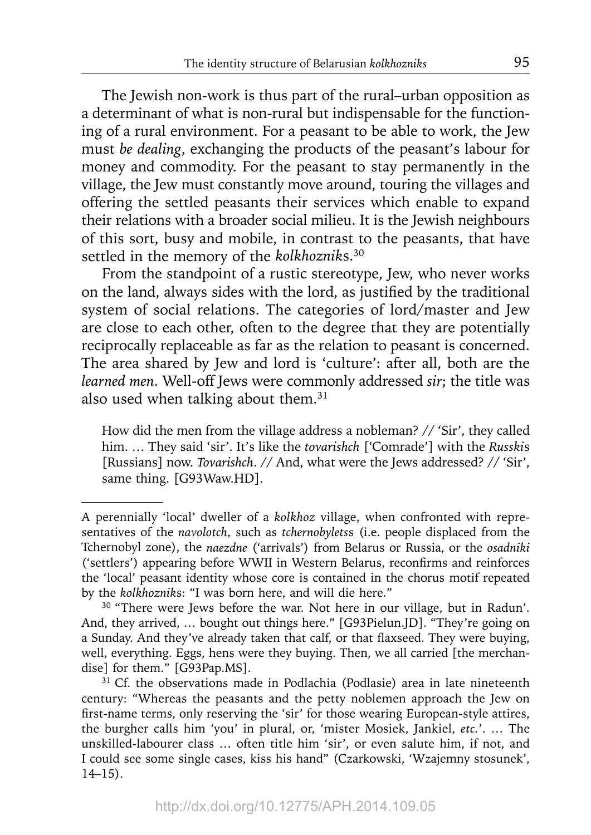The Jewish non-work is thus part of the rural–urban opposition as a determinant of what is non-rural but indispensable for the functioning of a rural environment. For a peasant to be able to work, the Jew must *be dealing*, exchanging the products of the peasant's labour for money and commodity. For the peasant to stay permanently in the village, the Jew must constantly move around, touring the villages and offering the settled peasants their services which enable to expand their relations with a broader social milieu. It is the Jewish neighbours of this sort, busy and mobile, in contrast to the peasants, that have settled in the memory of the *kolkhoznik*s.30

From the standpoint of a rustic stereotype, Jew, who never works on the land, always sides with the lord, as justified by the traditional system of social relations. The categories of lord/master and Jew are close to each other, often to the degree that they are potentially reciprocally replaceable as far as the relation to peasant is concerned. The area shared by Jew and lord is 'culture': after all, both are the *learned men*. Well-off Jews were commonly addressed *sir*; the title was also used when talking about them.<sup>31</sup>

How did the men from the village address a nobleman? // 'Sir', they called him. … They said 'sir'. It's like the *tovarishch* ['Comrade'] with the *Russki*s [Russians] now. *Tovarishch*. // And, what were the Jews addressed? // 'Sir', same thing. [G93Waw.HD].

A perennially 'local' dweller of a *kolkhoz* village, when confronted with representatives of the *navolotch*, such as *tchernobylets*s (i.e. people displaced from the Tchernobyl zone), the *naezdne* ('arrivals') from Belarus or Russia, or the *osadniki* ('settlers') appearing before WWII in Western Belarus, reconfirms and reinforces the 'local' peasant identity whose core is contained in the chorus motif repeated by the *kolkhoznik*s: "I was born here, and will die here."

<sup>&</sup>lt;sup>30</sup> "There were Jews before the war. Not here in our village, but in Radun'. And, they arrived, … bought out things here." [G93Pielun.JD]. "They're going on a Sunday. And they've already taken that calf, or that flaxseed. They were buying, well, everything. Eggs, hens were they buying. Then, we all carried [the merchandise] for them." [G93Pap.MS].

<sup>&</sup>lt;sup>31</sup> Cf. the observations made in Podlachia (Podlasie) area in late nineteenth century: "Whereas the peasants and the petty noblemen approach the Jew on first-name terms, only reserving the 'sir' for those wearing European-style attires, the burgher calls him 'you' in plural, or, 'mister Mosiek, Jankiel, *etc.*'. … The unskilled-labourer class … often title him 'sir', or even salute him, if not, and I could see some single cases, kiss his hand" (Czarkowski, 'Wzajemny stosunek', 14–15).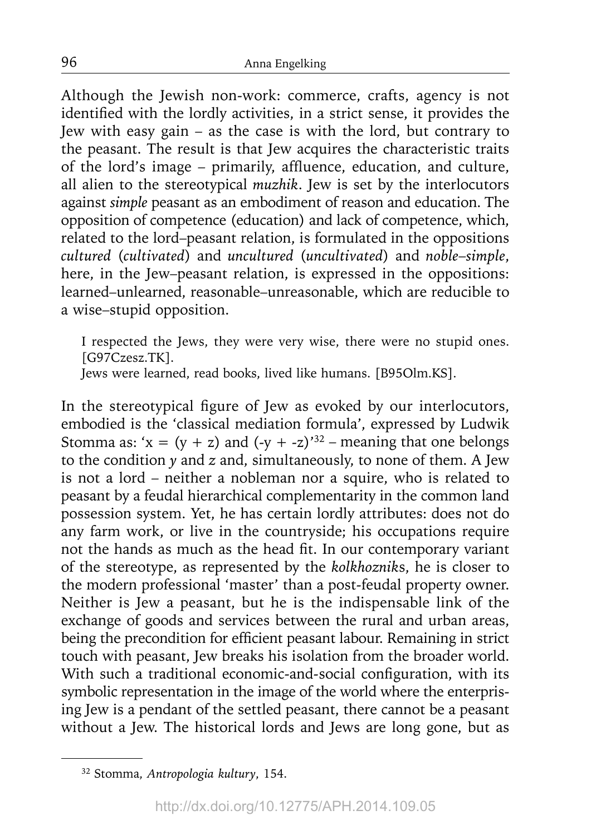Although the Jewish non-work: commerce, crafts, agency is not identified with the lordly activities, in a strict sense, it provides the Jew with easy gain – as the case is with the lord, but contrary to the peasant. The result is that Jew acquires the characteristic traits of the lord's image - primarily, affluence, education, and culture, all alien to the stereotypical *muzhik*. Jew is set by the interlocutors against *simple* peasant as an embodiment of reason and education. The opposition of competence (education) and lack of competence, which, related to the lord–peasant relation, is formulated in the oppositions *cultured* (*cultivated*) and *uncultured* (*uncultivated*) and *noble*–*simple*, here, in the Jew–peasant relation, is expressed in the oppositions: learned–unlearned, reasonable–unreasonable, which are reducible to a wise–stupid opposition.

I respected the Jews, they were very wise, there were no stupid ones. [G97Czesz.TK].

Jews were learned, read books, lived like humans. [B95Olm.KS].

In the stereotypical figure of Jew as evoked by our interlocutors, embodied is the 'classical mediation formula', expressed by Ludwik Stomma as: ' $x = (y + z)$  and  $(-y + -z)$ '<sup>32</sup> – meaning that one belongs to the condition *y* and *z* and, simultaneously, to none of them. A Jew is not a lord – neither a nobleman nor a squire, who is related to peasant by a feudal hierarchical complementarity in the common land possession system. Yet, he has certain lordly attributes: does not do any farm work, or live in the countryside; his occupations require not the hands as much as the head fit. In our contemporary variant of the stereotype, as represented by the *kolkhoznik*s, he is closer to the modern professional 'master' than a post-feudal property owner. Neither is Jew a peasant, but he is the indispensable link of the exchange of goods and services between the rural and urban areas, being the precondition for efficient peasant labour. Remaining in strict touch with peasant, Jew breaks his isolation from the broader world. With such a traditional economic-and-social configuration, with its symbolic representation in the image of the world where the enterprising Jew is a pendant of the settled peasant, there cannot be a peasant without a Jew. The historical lords and Jews are long gone, but as

<sup>32</sup> Stomma, *Antropologia kultury*, 154.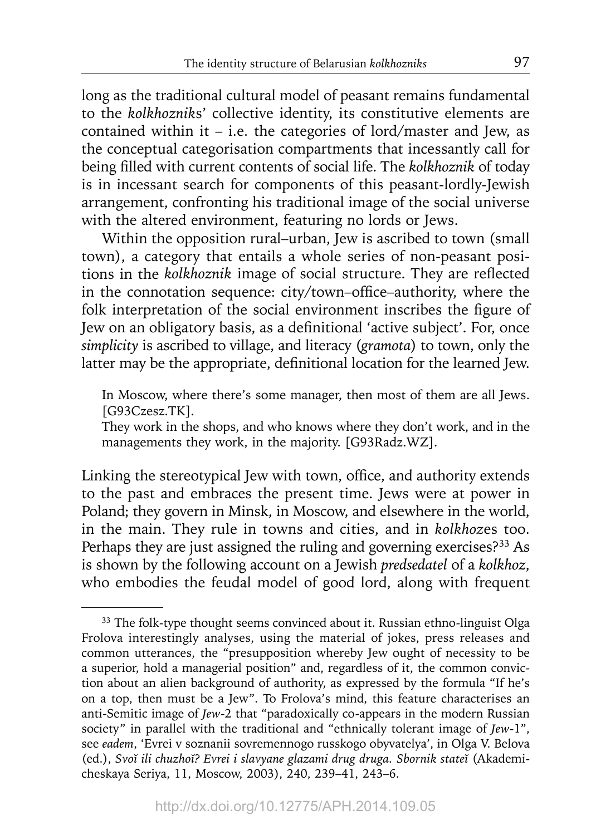long as the traditional cultural model of peasant remains fundamental to the *kolkhoznik*s' collective identity, its constitutive elements are contained within it – i.e. the categories of lord/master and Jew, as the conceptual categorisation compartments that incessantly call for being filled with current contents of social life. The *kolkhoznik* of today is in incessant search for components of this peasant-lordly-Jewish arrangement, confronting his traditional image of the social universe with the altered environment, featuring no lords or Jews.

Within the opposition rural–urban, Jew is ascribed to town (small town), a category that entails a whole series of non-peasant positions in the *kolkhoznik* image of social structure. They are reflected in the connotation sequence: city/town-office-authority, where the folk interpretation of the social environment inscribes the figure of Jew on an obligatory basis, as a definitional 'active subject'. For, once *simplicity* is ascribed to village, and literacy (*gramota*) to town, only the latter may be the appropriate, definitional location for the learned Jew.

In Moscow, where there's some manager, then most of them are all Jews. [G93Czesz.TK].

They work in the shops, and who knows where they don't work, and in the managements they work, in the majority. [G93Radz.WZ].

Linking the stereotypical Jew with town, office, and authority extends to the past and embraces the present time. Jews were at power in Poland; they govern in Minsk, in Moscow, and elsewhere in the world, in the main. They rule in towns and cities, and in *kolkhoz*es too. Perhaps they are just assigned the ruling and governing exercises?<sup>33</sup> As is shown by the following account on a Jewish *predsedatel* of a *kolkhoz*, who embodies the feudal model of good lord, along with frequent

<sup>&</sup>lt;sup>33</sup> The folk-type thought seems convinced about it. Russian ethno-linguist Olga Frolova interestingly analyses, using the material of jokes, press releases and common utterances, the "presupposition whereby Jew ought of necessity to be a superior, hold a managerial position" and, regardless of it, the common conviction about an alien background of authority, as expressed by the formula "If he's on a top, then must be a Jew". To Frolova's mind, this feature characterises an anti-Semitic image of *Jew*-2 that "paradoxically co-appears in the modern Russian society" in parallel with the traditional and "ethnically tolerant image of *Jew*-1", see *eadem*, 'Evrei v soznanii sovremennogo russkogo obyvatelya', in Olga V. Belova (ed.), *Svoĭ ili chuzhoĭ? Evrei i slavyane glazami drug druga. Sbornik stateĭ* (Akademicheskaya Seriya, 11, Moscow, 2003), 240, 239–41, 243–6.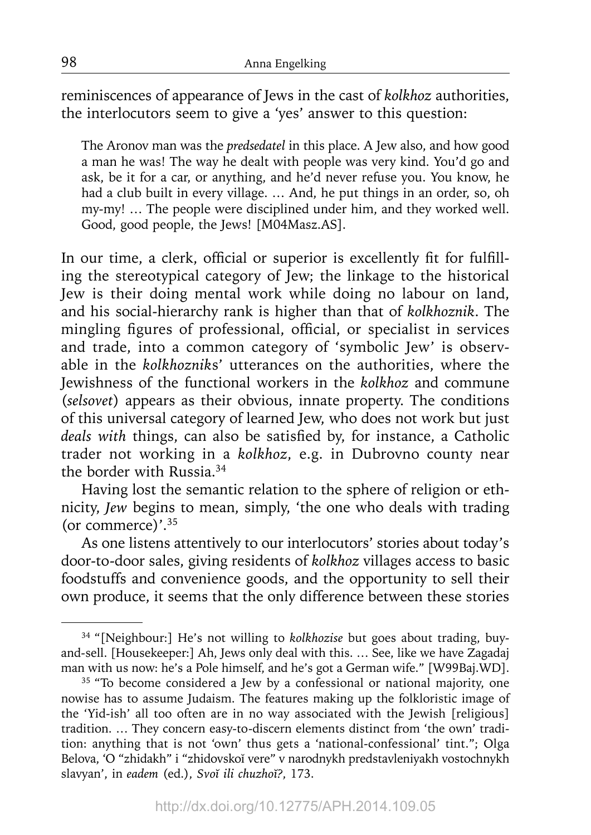reminiscences of appearance of Jews in the cast of *kolkhoz* authorities, the interlocutors seem to give a 'yes' answer to this question:

The Aronov man was the *predsedatel* in this place. A Jew also, and how good a man he was! The way he dealt with people was very kind. You'd go and ask, be it for a car, or anything, and he'd never refuse you. You know, he had a club built in every village. … And, he put things in an order, so, oh my-my! … The people were disciplined under him, and they worked well. Good, good people, the Jews! [M04Masz.AS].

In our time, a clerk, official or superior is excellently fit for fulfilling the stereotypical category of Jew; the linkage to the historical Jew is their doing mental work while doing no labour on land, and his social-hierarchy rank is higher than that of *kolkhoznik*. The mingling figures of professional, official, or specialist in services and trade, into a common category of 'symbolic Jew' is observable in the *kolkhoznik*s' utterances on the authorities, where the Jewishness of the functional workers in the *kolkhoz* and commune (*selsovet*) appears as their obvious, innate property. The conditions of this universal category of learned Jew, who does not work but just *deals with things, can also be satisfied by, for instance, a Catholic* trader not working in a *kolkhoz*, e.g. in Dubrovno county near the border with Russia.34

Having lost the semantic relation to the sphere of religion or ethnicity, *Jew* begins to mean, simply, 'the one who deals with trading (or commerce)'.35

As one listens attentively to our interlocutors' stories about today's door-to-door sales, giving residents of *kolkhoz* villages access to basic foodstuffs and convenience goods, and the opportunity to sell their own produce, it seems that the only difference between these stories

<sup>34 &</sup>quot;[Neighbour:] He's not willing to *kolkhozise* but goes about trading, buyand-sell. [Housekeeper:] Ah, Jews only deal with this. … See, like we have Zagadaj man with us now: he's a Pole himself, and he's got a German wife." [W99Baj.WD].

<sup>&</sup>lt;sup>35</sup> "To become considered a Jew by a confessional or national majority, one nowise has to assume Judaism. The features making up the folkloristic image of the 'Yid-ish' all too often are in no way associated with the Jewish [religious] tradition. … They concern easy-to-discern elements distinct from 'the own' tradition: anything that is not 'own' thus gets a 'national-confessional' tint."; Olga Belova, 'O "zhidakh" i "zhidovskoĭ vere" v narodnykh predstavleniyakh vostochnykh slavyan', in *eadem* (ed.), *Svoĭ ili chuzhoĭ?*, 173.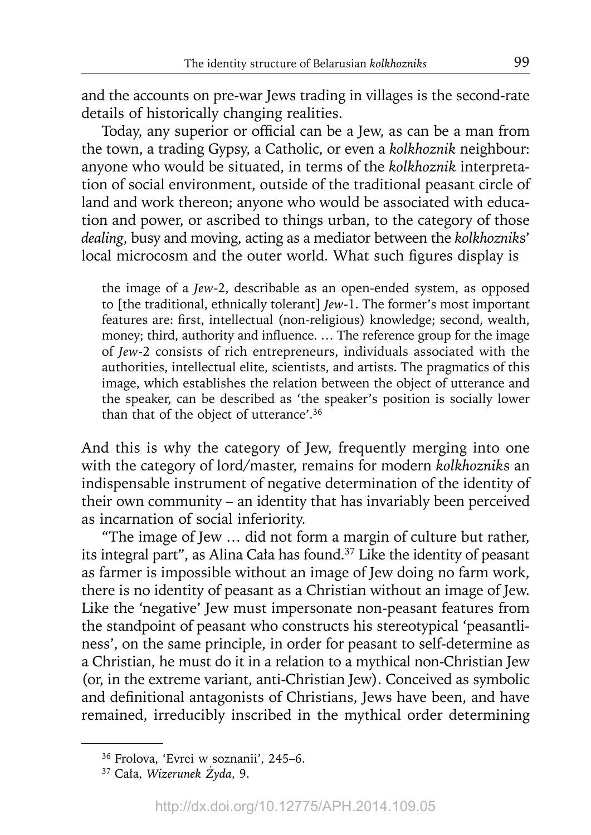and the accounts on pre-war Jews trading in villages is the second-rate details of historically changing realities.

Today, any superior or official can be a Jew, as can be a man from the town, a trading Gypsy, a Catholic, or even a *kolkhoznik* neighbour: anyone who would be situated, in terms of the *kolkhoznik* interpretation of social environment, outside of the traditional peasant circle of land and work thereon; anyone who would be associated with education and power, or ascribed to things urban, to the category of those *dealing*, busy and moving, acting as a mediator between the *kolkhoznik*s' local microcosm and the outer world. What such figures display is

the image of a *Jew*-2, describable as an open-ended system, as opposed to [the traditional, ethnically tolerant] *Jew*-1. The former's most important features are: first, intellectual (non-religious) knowledge; second, wealth, money; third, authority and influence. ... The reference group for the image of *Jew*-2 consists of rich entrepreneurs, individuals associated with the authorities, intellectual elite, scientists, and artists. The pragmatics of this image, which establishes the relation between the object of utterance and the speaker, can be described as 'the speaker's position is socially lower than that of the object of utterance'.36

And this is why the category of Jew, frequently merging into one with the category of lord/master, remains for modern *kolkhoznik*s an indispensable instrument of negative determination of the identity of their own community – an identity that has invariably been perceived as incarnation of social inferiority.

"The image of Jew … did not form a margin of culture but rather, its integral part", as Alina Cała has found.37 Like the identity of peasant as farmer is impossible without an image of Jew doing no farm work, there is no identity of peasant as a Christian without an image of Jew. Like the 'negative' Jew must impersonate non-peasant features from the standpoint of peasant who constructs his stereotypical 'peasantliness', on the same principle, in order for peasant to self-determine as a Christian, he must do it in a relation to a mythical non-Christian Jew (or, in the extreme variant, anti-Christian Jew). Conceived as symbolic and definitional antagonists of Christians, Jews have been, and have remained, irreducibly inscribed in the mythical order determining

<sup>36</sup> Frolova, 'Evrei w soznanii', 245–6.

<sup>37</sup> Cała, *Wizerunek Żyda*, 9.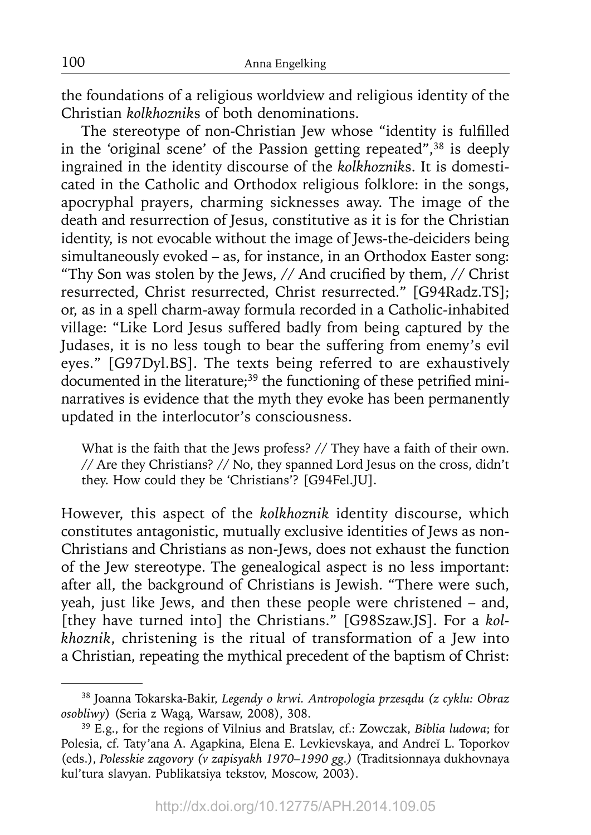the foundations of a religious worldview and religious identity of the Christian *kolkhoznik*s of both denominations.

The stereotype of non-Christian Jew whose "identity is fulfilled in the 'original scene' of the Passion getting repeated",<sup>38</sup> is deeply ingrained in the identity discourse of the *kolkhoznik*s. It is domesticated in the Catholic and Orthodox religious folklore: in the songs, apocryphal prayers, charming sicknesses away. The image of the death and resurrection of Jesus, constitutive as it is for the Christian identity, is not evocable without the image of Jews-the-deiciders being simultaneously evoked – as, for instance, in an Orthodox Easter song: "Thy Son was stolen by the Jews,  $//$  And crucified by them,  $//$  Christ resurrected, Christ resurrected, Christ resurrected." [G94Radz.TS]; or, as in a spell charm-away formula recorded in a Catholic-inhabited village: "Like Lord Jesus suffered badly from being captured by the Judases, it is no less tough to bear the suffering from enemy's evil eyes." [G97Dyl.BS]. The texts being referred to are exhaustively documented in the literature; $39$  the functioning of these petrified mininarratives is evidence that the myth they evoke has been permanently updated in the interlocutor's consciousness.

What is the faith that the Jews profess? // They have a faith of their own. // Are they Christians? // No, they spanned Lord Jesus on the cross, didn't they. How could they be 'Christians'? [G94Fel.JU].

However, this aspect of the *kolkhoznik* identity discourse, which constitutes antagonistic, mutually exclusive identities of Jews as non-Christians and Christians as non-Jews, does not exhaust the function of the Jew stereotype. The genealogical aspect is no less important: after all, the background of Christians is Jewish. "There were such, yeah, just like Jews, and then these people were christened – and, [they have turned into] the Christians." [G98Szaw.JS]. For a *kolkhoznik*, christening is the ritual of transformation of a Jew into a Christian, repeating the mythical precedent of the baptism of Christ:

<sup>38</sup> Joanna Tokarska-Bakir, *Legendy o krwi. Antropologia przesądu (z cyklu: Obraz osobliwy*) (Seria z Wagą, Warsaw, 2008), 308.

<sup>39</sup> E.g., for the regions of Vilnius and Bratslav, cf.: Zowczak, *Biblia ludowa*; for Polesia, cf. Taty'ana A. Agapkina, Elena E. Levkievskaya, and Andreĭ L. Toporkov (eds.), *Polesskie zagovory (v zapisyakh 1970–1990 gg.)* (Traditsionnaya dukhovnaya kul'tura slavyan. Publikatsiya tekstov, Moscow, 2003).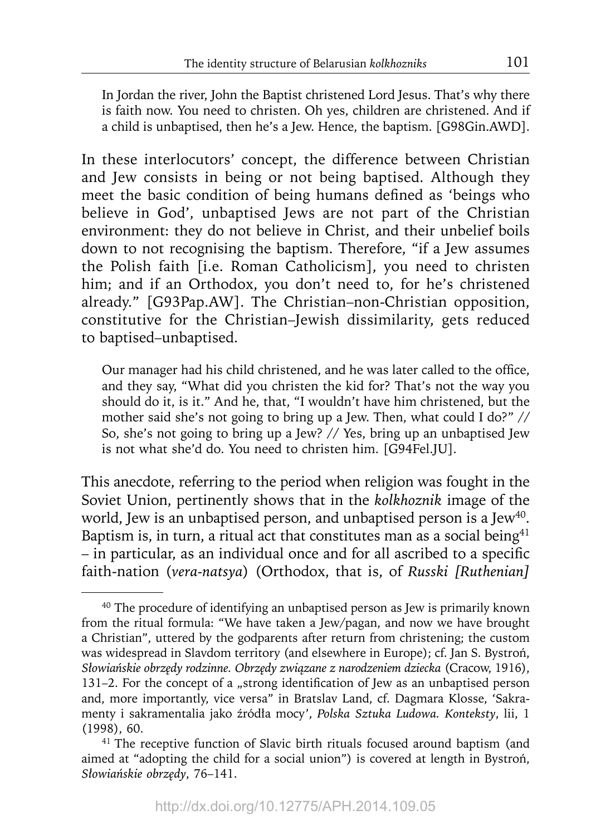In Jordan the river, John the Baptist christened Lord Jesus. That's why there is faith now. You need to christen. Oh yes, children are christened. And if a child is unbaptised, then he's a Jew. Hence, the baptism. [G98Gin.AWD].

In these interlocutors' concept, the difference between Christian and Jew consists in being or not being baptised. Although they meet the basic condition of being humans defined as 'beings who believe in God', unbaptised Jews are not part of the Christian environment: they do not believe in Christ, and their unbelief boils down to not recognising the baptism. Therefore, "if a Jew assumes the Polish faith [i.e. Roman Catholicism], you need to christen him; and if an Orthodox, you don't need to, for he's christened already." [G93Pap.AW]. The Christian–non-Christian opposition, constitutive for the Christian–Jewish dissimilarity, gets reduced to baptised–unbaptised.

Our manager had his child christened, and he was later called to the office, and they say, "What did you christen the kid for? That's not the way you should do it, is it." And he, that, "I wouldn't have him christened, but the mother said she's not going to bring up a Jew. Then, what could I do?" // So, she's not going to bring up a Jew? // Yes, bring up an unbaptised Jew is not what she'd do. You need to christen him. [G94Fel.JU].

This anecdote, referring to the period when religion was fought in the Soviet Union, pertinently shows that in the *kolkhoznik* image of the world, Jew is an unbaptised person, and unbaptised person is a Jew<sup>40</sup>. Baptism is, in turn, a ritual act that constitutes man as a social being $41$ – in particular, as an individual once and for all ascribed to a specific faith-nation (*vera-natsya*) (Orthodox, that is, of *Russki [Ruthenian]* 

<sup>&</sup>lt;sup>40</sup> The procedure of identifying an unbaptised person as Jew is primarily known from the ritual formula: "We have taken a Jew/pagan, and now we have brought a Christian", uttered by the godparents after return from christening; the custom was widespread in Slavdom territory (and elsewhere in Europe); cf. Jan S. Bystroń, *Słowiańskie obrzędy rodzinne. Obrzędy związane z narodzeniem dziecka* (Cracow, 1916), 131–2. For the concept of a "strong identification of Jew as an unbaptised person and, more importantly, vice versa" in Bratslav Land, cf. Dagmara Klosse, 'Sakramenty i sakramentalia jako źródła mocy', *Polska Sztuka Ludowa. Konteksty*, lii, 1 (1998), 60.

<sup>&</sup>lt;sup>41</sup> The receptive function of Slavic birth rituals focused around baptism (and aimed at "adopting the child for a social union") is covered at length in Bystroń, *Słowiańskie obrzędy*, 76–141.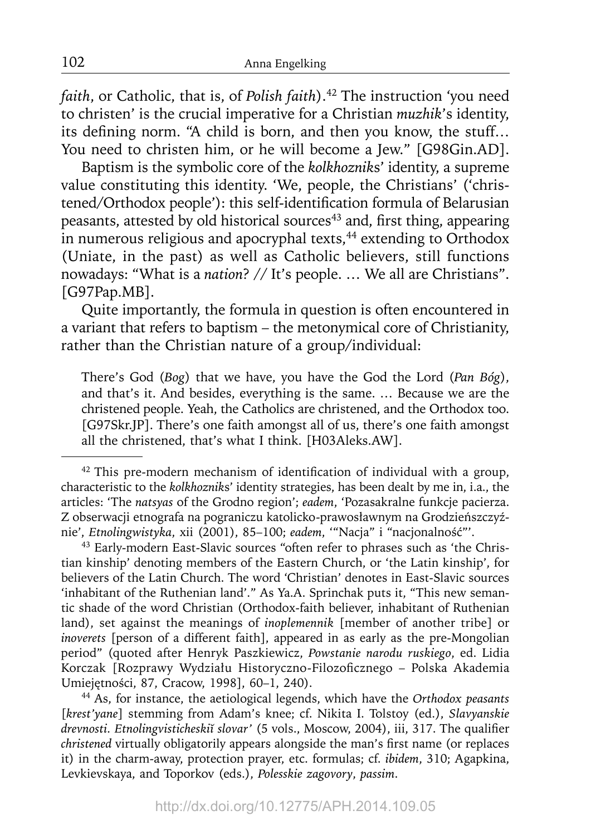*faith*, or Catholic, that is, of *Polish faith*).<sup>42</sup> The instruction 'you need to christen' is the crucial imperative for a Christian *muzhik*'s identity, its defining norm. "A child is born, and then you know, the stuff... You need to christen him, or he will become a Jew." [G98Gin.AD].

Baptism is the symbolic core of the *kolkhoznik*s' identity, a supreme value constituting this identity. 'We, people, the Christians' ('christened/Orthodox people'): this self-identification formula of Belarusian peasants, attested by old historical sources<sup>43</sup> and, first thing, appearing in numerous religious and apocryphal texts,<sup>44</sup> extending to Orthodox (Uniate, in the past) as well as Catholic believers, still functions nowadays: "What is a *nation*? // It's people. … We all are Christians". [G97Pap.MB].

Quite importantly, the formula in question is often encountered in a variant that refers to baptism – the metonymical core of Christianity, rather than the Christian nature of a group/individual:

There's God (*Bog*) that we have, you have the God the Lord (*Pan Bóg*), and that's it. And besides, everything is the same. … Because we are the christened people. Yeah, the Catholics are christened, and the Orthodox too. [G97Skr.JP]. There's one faith amongst all of us, there's one faith amongst all the christened, that's what I think. [H03Aleks.AW].

44 As, for instance, the aetiological legends, which have the *Orthodox peasants*  [*krest'yane*] stemming from Adam's knee; cf. Nikita I. Tolstoy (ed.), *Slavyanskie drevnosti. Etnolingvisticheskiı̆ slovar'* (5 vols., Moscow, 2004), iii, 317. The qualifier *christened* virtually obligatorily appears alongside the man's first name (or replaces it) in the charm-away, protection prayer, etc. formulas; cf. *ibidem*, 310; Agapkina, Levkievskaya, and Toporkov (eds.), *Polesskie zagovory*, *passim*.

 $42$  This pre-modern mechanism of identification of individual with a group, characteristic to the *kolkhoznik*s' identity strategies, has been dealt by me in, i.a., the articles: 'The *natsyas* of the Grodno region'; *eadem*, 'Pozasakralne funkcje pacierza. Z obserwacji etnografa na pograniczu katolicko-prawosławnym na Grodzieńszczyźnie', *Etnolingwistyka*, xii (2001), 85–100; *eadem*, '"Nacja" i "nacjonalność"'.

<sup>43</sup> Early-modern East-Slavic sources "often refer to phrases such as 'the Christian kinship' denoting members of the Eastern Church, or 'the Latin kinship', for believers of the Latin Church. The word 'Christian' denotes in East-Slavic sources 'inhabitant of the Ruthenian land'." As Ya.A. Sprinchak puts it, "This new semantic shade of the word Christian (Orthodox-faith believer, inhabitant of Ruthenian land), set against the meanings of *inoplemennik* [member of another tribe] or *inoverets* [person of a different faith], appeared in as early as the pre-Mongolian period" (quoted after Henryk Paszkiewicz, *Powstanie narodu ruskiego*, ed. Lidia Korczak [Rozprawy Wydziału Historyczno-Filozoficznego - Polska Akademia Umiejętności, 87, Cracow, 1998], 60–1, 240).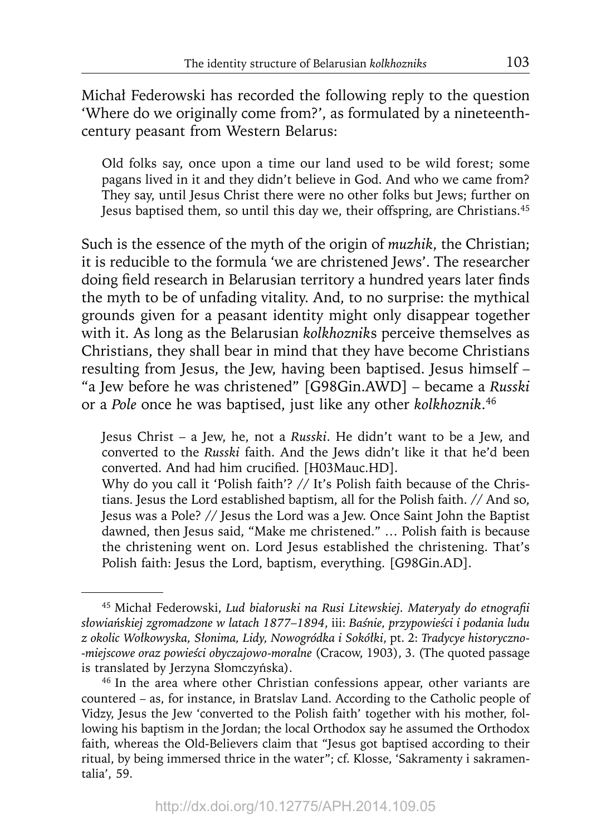Michał Federowski has recorded the following reply to the question 'Where do we originally come from?', as formulated by a nineteenthcentury peasant from Western Belarus:

Old folks say, once upon a time our land used to be wild forest; some pagans lived in it and they didn't believe in God. And who we came from? They say, until Jesus Christ there were no other folks but Jews; further on Jesus baptised them, so until this day we, their offspring, are Christians.45

Such is the essence of the myth of the origin of *muzhik*, the Christian; it is reducible to the formula 'we are christened Jews'. The researcher doing field research in Belarusian territory a hundred years later finds the myth to be of unfading vitality. And, to no surprise: the mythical grounds given for a peasant identity might only disappear together with it. As long as the Belarusian *kolkhoznik*s perceive themselves as Christians, they shall bear in mind that they have become Christians resulting from Jesus, the Jew, having been baptised. Jesus himself – "a Jew before he was christened" [G98Gin.AWD] – became a *Russki* or a *Pole* once he was baptised, just like any other *kolkhoznik*. 46

Jesus Christ – a Jew, he, not a *Russki*. He didn't want to be a Jew, and converted to the *Russki* faith. And the Jews didn't like it that he'd been converted. And had him crucified. [H03Mauc.HD].

Why do you call it 'Polish faith'? // It's Polish faith because of the Christians. Jesus the Lord established baptism, all for the Polish faith. // And so, Jesus was a Pole? // Jesus the Lord was a Jew. Once Saint John the Baptist dawned, then Jesus said, "Make me christened." … Polish faith is because the christening went on. Lord Jesus established the christening. That's Polish faith: Jesus the Lord, baptism, everything. [G98Gin.AD].

<sup>45</sup> Michał Federowski, *Lud białoruski na Rusi Litewskiej. Materyały do etnografi i słowiańskiej zgromadzone w latach 1877*–*1894*, iii: *Baśnie, przypowieści i podania ludu z okolic Wołkowyska, Słonima, Lidy, Nowogródka i Sokółki*, pt. 2: *Tradycye historyczno- -miejscowe oraz powieści obyczajowo-moralne* (Cracow, 1903), 3. (The quoted passage is translated by Jerzyna Słomczyńska).

<sup>46</sup> In the area where other Christian confessions appear, other variants are countered – as, for instance, in Bratslav Land. According to the Catholic people of Vidzy, Jesus the Jew 'converted to the Polish faith' together with his mother, following his baptism in the Jordan; the local Orthodox say he assumed the Orthodox faith, whereas the Old-Believers claim that "Jesus got baptised according to their ritual, by being immersed thrice in the water"; cf. Klosse, 'Sakramenty i sakramentalia', 59.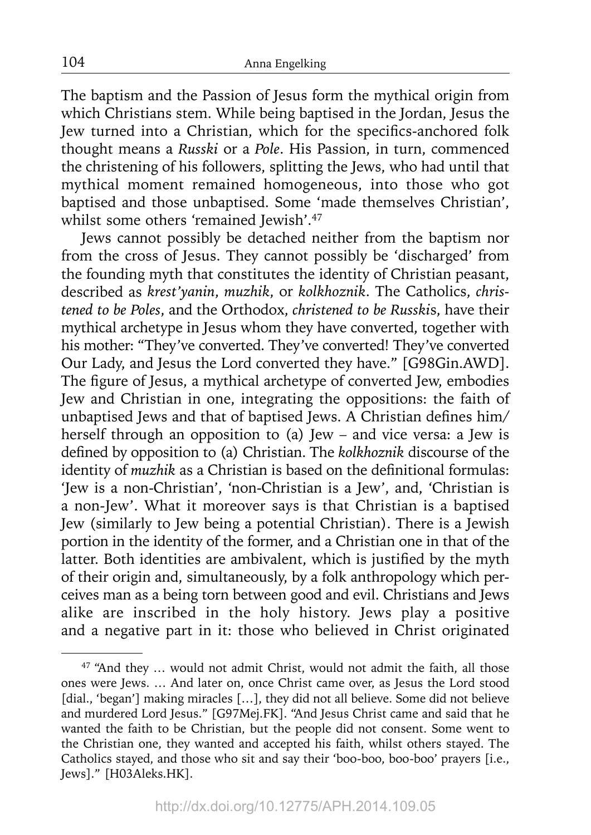The baptism and the Passion of Jesus form the mythical origin from which Christians stem. While being baptised in the Jordan, Jesus the Jew turned into a Christian, which for the specifics-anchored folk thought means a *Russki* or a *Pole*. His Passion, in turn, commenced the christening of his followers, splitting the Jews, who had until that mythical moment remained homogeneous, into those who got baptised and those unbaptised. Some 'made themselves Christian', whilst some others 'remained Jewish'.47

Jews cannot possibly be detached neither from the baptism nor from the cross of Jesus. They cannot possibly be 'discharged' from the founding myth that constitutes the identity of Christian peasant, described as *krest'yanin*, *muzhik*, or *kolkhoznik*. The Catholics, *christened to be Poles*, and the Orthodox, *christened to be Russki*s, have their mythical archetype in Jesus whom they have converted, together with his mother: "They've converted. They've converted! They've converted Our Lady, and Jesus the Lord converted they have." [G98Gin.AWD]. The figure of Jesus, a mythical archetype of converted Jew, embodies Jew and Christian in one, integrating the oppositions: the faith of unbaptised Jews and that of baptised Jews. A Christian defines him/ herself through an opposition to (a) Jew – and vice versa: a Jew is defined by opposition to (a) Christian. The *kolkhoznik* discourse of the identity of *muzhik* as a Christian is based on the definitional formulas: 'Jew is a non-Christian', 'non-Christian is a Jew', and, 'Christian is a non-Jew'. What it moreover says is that Christian is a baptised Jew (similarly to Jew being a potential Christian). There is a Jewish portion in the identity of the former, and a Christian one in that of the latter. Both identities are ambivalent, which is justified by the myth of their origin and, simultaneously, by a folk anthropology which perceives man as a being torn between good and evil. Christians and Jews alike are inscribed in the holy history. Jews play a positive and a negative part in it: those who believed in Christ originated

104

<sup>&</sup>lt;sup>47</sup> "And they ... would not admit Christ, would not admit the faith, all those ones were Jews. … And later on, once Christ came over, as Jesus the Lord stood [dial., 'began'] making miracles [...], they did not all believe. Some did not believe and murdered Lord Jesus." [G97Mej.FK]. "And Jesus Christ came and said that he wanted the faith to be Christian, but the people did not consent. Some went to the Christian one, they wanted and accepted his faith, whilst others stayed. The Catholics stayed, and those who sit and say their 'boo-boo, boo-boo' prayers [i.e., Jews]." [H03Aleks.HK].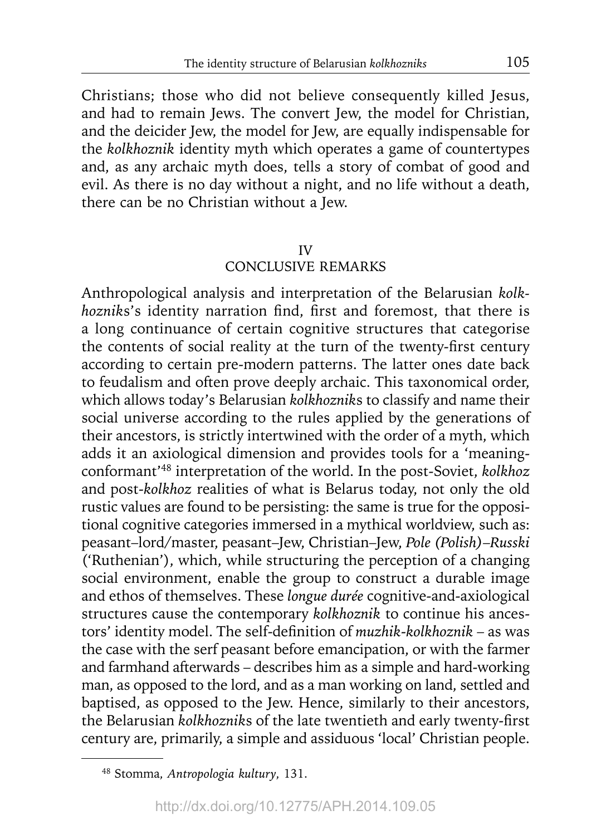Christians; those who did not believe consequently killed Jesus, and had to remain Jews. The convert Jew, the model for Christian, and the deicider Jew, the model for Jew, are equally indispensable for the *kolkhoznik* identity myth which operates a game of countertypes and, as any archaic myth does, tells a story of combat of good and evil. As there is no day without a night, and no life without a death, there can be no Christian without a Jew.

### IV

# CONCLUSIVE REMARKS

Anthropological analysis and interpretation of the Belarusian *kolkhozniks's* identity narration find, first and foremost, that there is a long continuance of certain cognitive structures that categorise the contents of social reality at the turn of the twenty-first century according to certain pre-modern patterns. The latter ones date back to feudalism and often prove deeply archaic. This taxonomical order, which allows today's Belarusian *kolkhoznik*s to classify and name their social universe according to the rules applied by the generations of their ancestors, is strictly intertwined with the order of a myth, which adds it an axiological dimension and provides tools for a 'meaningconformant'48 interpretation of the world. In the post-Soviet, *kolkhoz* and post-*kolkhoz* realities of what is Belarus today, not only the old rustic values are found to be persisting: the same is true for the oppositional cognitive categories immersed in a mythical worldview, such as: peasant–lord/master, peasant–Jew, Christian–Jew, *Pole (Polish)*–*Russki* ('Ruthenian'), which, while structuring the perception of a changing social environment, enable the group to construct a durable image and ethos of themselves. These *longue durée* cognitive-and-axiological structures cause the contemporary *kolkhoznik* to continue his ancestors' identity model. The self-definition of *muzhik-kolkhoznik* – as was the case with the serf peasant before emancipation, or with the farmer and farmhand afterwards – describes him as a simple and hard-working man, as opposed to the lord, and as a man working on land, settled and baptised, as opposed to the Jew. Hence, similarly to their ancestors, the Belarusian *kolkhozniks* of the late twentieth and early twenty-first century are, primarily, a simple and assiduous 'local' Christian people.

<sup>48</sup> Stomma, *Antropologia kultury*, 131.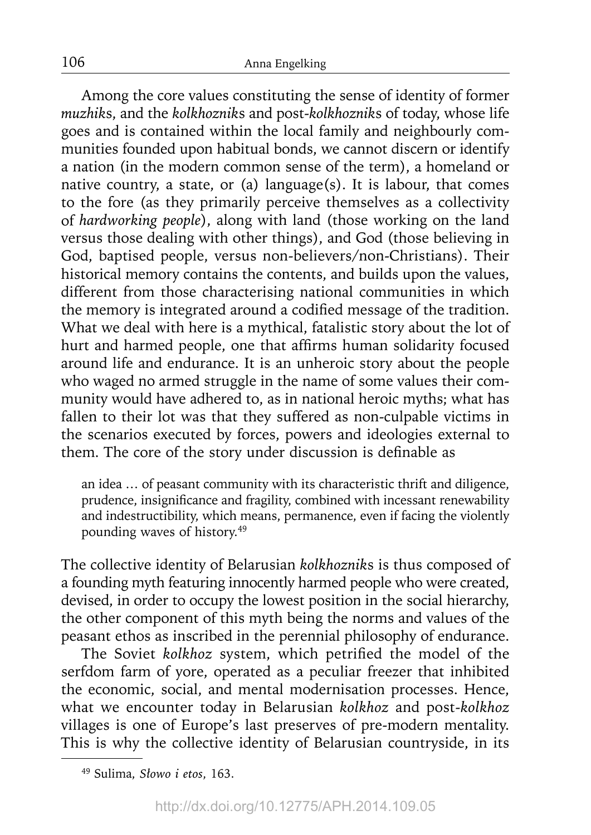Among the core values constituting the sense of identity of former *muzhik*s, and the *kolkhoznik*s and post-*kolkhoznik*s of today, whose life goes and is contained within the local family and neighbourly communities founded upon habitual bonds, we cannot discern or identify a nation (in the modern common sense of the term), a homeland or native country, a state, or (a) language(s). It is labour, that comes to the fore (as they primarily perceive themselves as a collectivity of *hardworking people*), along with land (those working on the land versus those dealing with other things), and God (those believing in God, baptised people, versus non-believers/non-Christians). Their historical memory contains the contents, and builds upon the values, different from those characterising national communities in which the memory is integrated around a codified message of the tradition. What we deal with here is a mythical, fatalistic story about the lot of hurt and harmed people, one that affirms human solidarity focused around life and endurance. It is an unheroic story about the people who waged no armed struggle in the name of some values their community would have adhered to, as in national heroic myths; what has fallen to their lot was that they suffered as non-culpable victims in the scenarios executed by forces, powers and ideologies external to them. The core of the story under discussion is definable as

an idea … of peasant community with its characteristic thrift and diligence, prudence, insignificance and fragility, combined with incessant renewability and indestructibility, which means, permanence, even if facing the violently pounding waves of history.49

The collective identity of Belarusian *kolkhoznik*s is thus composed of a founding myth featuring innocently harmed people who were created, devised, in order to occupy the lowest position in the social hierarchy, the other component of this myth being the norms and values of the peasant ethos as inscribed in the perennial philosophy of endurance.

The Soviet *kolkhoz* system, which petrified the model of the serfdom farm of yore, operated as a peculiar freezer that inhibited the economic, social, and mental modernisation processes. Hence, what we encounter today in Belarusian *kolkhoz* and post-*kolkhoz* villages is one of Europe's last preserves of pre-modern mentality. This is why the collective identity of Belarusian countryside, in its

<sup>49</sup> Sulima, *Słowo i etos*, 163.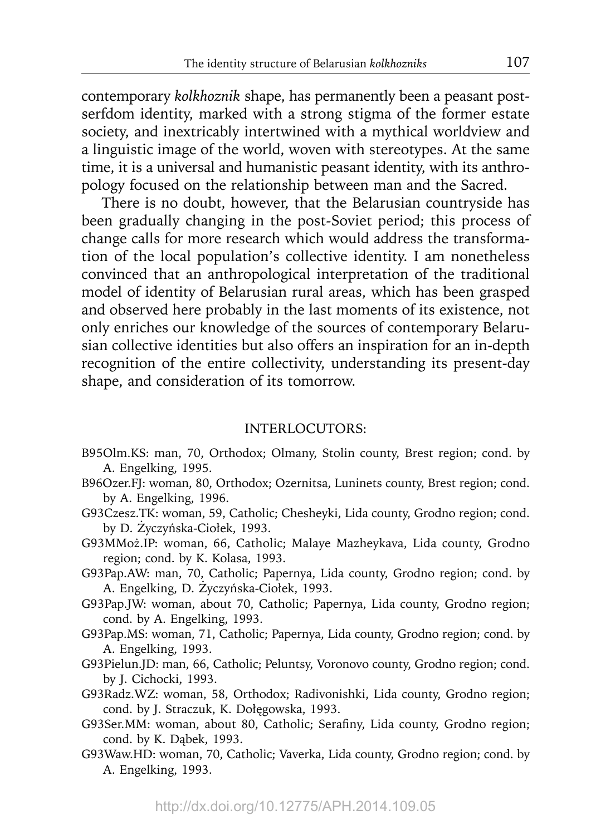contemporary *kolkhoznik* shape, has permanently been a peasant postserfdom identity, marked with a strong stigma of the former estate society, and inextricably intertwined with a mythical worldview and a linguistic image of the world, woven with stereotypes. At the same time, it is a universal and humanistic peasant identity, with its anthropology focused on the relationship between man and the Sacred.

There is no doubt, however, that the Belarusian countryside has been gradually changing in the post-Soviet period; this process of change calls for more research which would address the transformation of the local population's collective identity. I am nonetheless convinced that an anthropological interpretation of the traditional model of identity of Belarusian rural areas, which has been grasped and observed here probably in the last moments of its existence, not only enriches our knowledge of the sources of contemporary Belarusian collective identities but also offers an inspiration for an in-depth recognition of the entire collectivity, understanding its present-day shape, and consideration of its tomorrow.

# INTERLOCUTORS:

- B95Olm.KS: man, 70, Orthodox; Olmany, Stolin county, Brest region; cond. by A. Engelking, 1995.
- B96Ozer.FJ: woman, 80, Orthodox; Ozernitsa, Luninets county, Brest region; cond. by A. Engelking, 1996.
- G93Czesz.TK: woman, 59, Catholic; Chesheyki, Lida county, Grodno region; cond. by D. Życzyńska-Ciołek, 1993.
- G93MMoż.IP: woman, 66, Catholic; Malaye Mazheykava, Lida county, Grodno region; cond. by K. Kolasa, 1993.
- G93Pap.AW: man, 70, Catholic; Papernya, Lida county, Grodno region; cond. by A. Engelking, D. Życzyńska-Ciołek, 1993.
- G93Pap.JW: woman, about 70, Catholic; Papernya, Lida county, Grodno region; cond. by A. Engelking, 1993.
- G93Pap.MS: woman, 71, Catholic; Papernya, Lida county, Grodno region; cond. by A. Engelking, 1993.
- G93Pielun.JD: man, 66, Catholic; Peluntsy, Voronovo county, Grodno region; cond. by J. Cichocki, 1993.
- G93Radz.WZ: woman, 58, Orthodox; Radivonishki, Lida county, Grodno region; cond. by J. Straczuk, K. Dołęgowska, 1993.
- G93Ser.MM: woman, about 80, Catholic; Serafiny, Lida county, Grodno region; cond. by K. Dąbek, 1993.
- G93Waw.HD: woman, 70, Catholic; Vaverka, Lida county, Grodno region; cond. by A. Engelking, 1993.